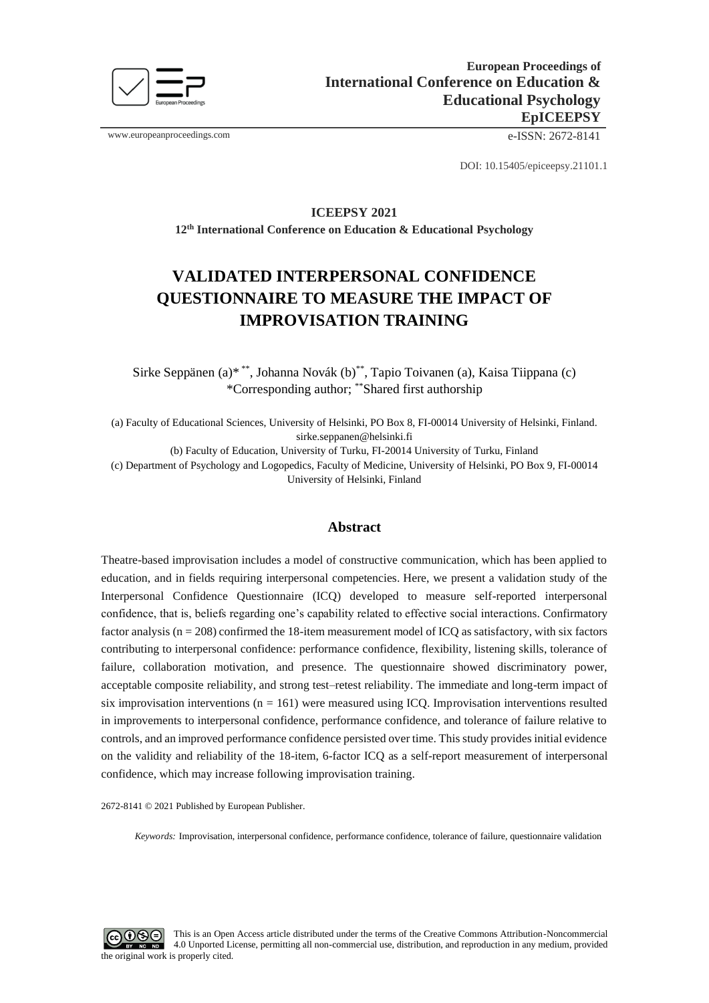

www.europeanproceedings.com e-ISSN: 2672-8141

DOI: 10.15405/epiceepsy.21101.1

# **ICEEPSY 2021 12th International Conference on Education & Educational Psychology**

# **VALIDATED INTERPERSONAL CONFIDENCE QUESTIONNAIRE TO MEASURE THE IMPACT OF IMPROVISATION TRAINING**

Sirke Seppänen (a)\* \*\*, Johanna Novák (b) \*\*, Tapio Toivanen (a), Kaisa Tiippana (c) \*Corresponding author; \*\*Shared first authorship

(a) Faculty of Educational Sciences, University of Helsinki, PO Box 8, FI-00014 University of Helsinki, Finland. sirke.seppanen@helsinki.fi

(b) Faculty of Education, University of Turku, FI-20014 University of Turku, Finland

(c) Department of Psychology and Logopedics, Faculty of Medicine, University of Helsinki, PO Box 9, FI-00014 University of Helsinki, Finland

### **Abstract**

Theatre-based improvisation includes a model of constructive communication, which has been applied to education, and in fields requiring interpersonal competencies. Here, we present a validation study of the Interpersonal Confidence Questionnaire (ICQ) developed to measure self-reported interpersonal confidence, that is, beliefs regarding one's capability related to effective social interactions. Confirmatory factor analysis ( $n = 208$ ) confirmed the 18-item measurement model of ICQ as satisfactory, with six factors contributing to interpersonal confidence: performance confidence, flexibility, listening skills, tolerance of failure, collaboration motivation, and presence. The questionnaire showed discriminatory power, acceptable composite reliability, and strong test–retest reliability. The immediate and long-term impact of six improvisation interventions  $(n = 161)$  were measured using ICQ. Improvisation interventions resulted in improvements to interpersonal confidence, performance confidence, and tolerance of failure relative to controls, and an improved performance confidence persisted over time. This study provides initial evidence on the validity and reliability of the 18-item, 6-factor ICQ as a self-report measurement of interpersonal confidence, which may increase following improvisation training.

2672-8141 © 2021 Published by European Publisher.

*Keywords:* Improvisation, interpersonal confidence, performance confidence, tolerance of failure, questionnaire validation

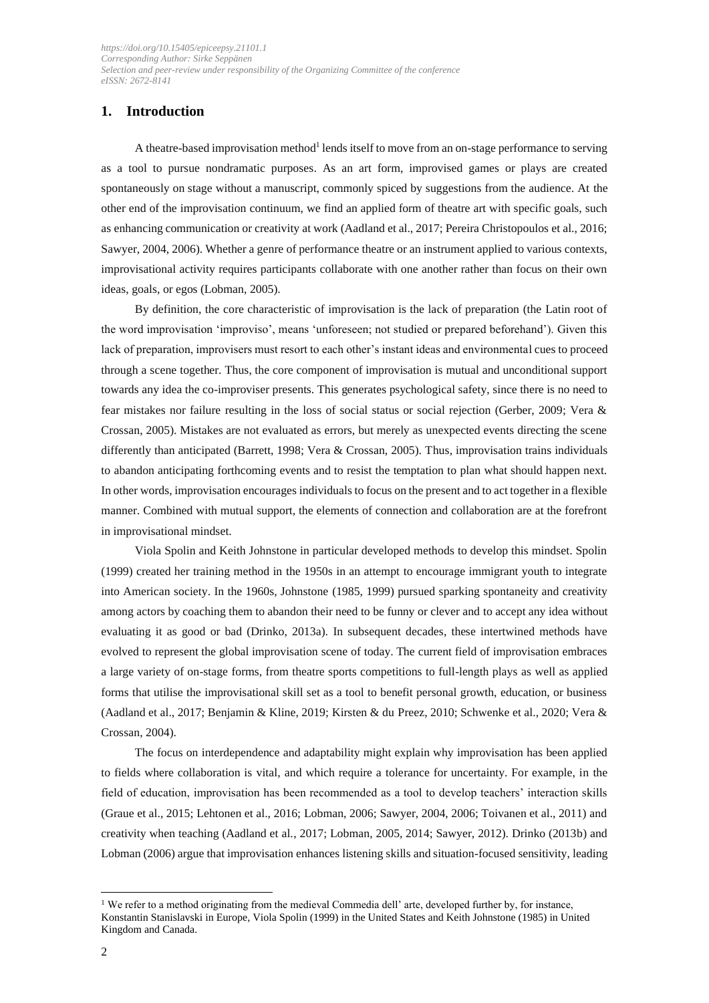# **1. Introduction**

A theatre-based improvisation method<sup>1</sup> lends itself to move from an on-stage performance to serving as a tool to pursue nondramatic purposes. As an art form, improvised games or plays are created spontaneously on stage without a manuscript, commonly spiced by suggestions from the audience. At the other end of the improvisation continuum, we find an applied form of theatre art with specific goals, such as enhancing communication or creativity at work (Aadland et al., 2017; Pereira Christopoulos et al., 2016; Sawyer, 2004, 2006). Whether a genre of performance theatre or an instrument applied to various contexts, improvisational activity requires participants collaborate with one another rather than focus on their own ideas, goals, or egos (Lobman, 2005).

By definition, the core characteristic of improvisation is the lack of preparation (the Latin root of the word improvisation 'improviso', means 'unforeseen; not studied or prepared beforehand'). Given this lack of preparation, improvisers must resort to each other's instant ideas and environmental cues to proceed through a scene together. Thus, the core component of improvisation is mutual and unconditional support towards any idea the co-improviser presents. This generates psychological safety, since there is no need to fear mistakes nor failure resulting in the loss of social status or social rejection (Gerber, 2009; Vera & Crossan, 2005). Mistakes are not evaluated as errors, but merely as unexpected events directing the scene differently than anticipated (Barrett, 1998; Vera & Crossan, 2005). Thus, improvisation trains individuals to abandon anticipating forthcoming events and to resist the temptation to plan what should happen next. In other words, improvisation encourages individuals to focus on the present and to act together in a flexible manner. Combined with mutual support, the elements of connection and collaboration are at the forefront in improvisational mindset.

Viola Spolin and Keith Johnstone in particular developed methods to develop this mindset. Spolin (1999) created her training method in the 1950s in an attempt to encourage immigrant youth to integrate into American society. In the 1960s, Johnstone (1985, 1999) pursued sparking spontaneity and creativity among actors by coaching them to abandon their need to be funny or clever and to accept any idea without evaluating it as good or bad (Drinko, 2013a). In subsequent decades, these intertwined methods have evolved to represent the global improvisation scene of today. The current field of improvisation embraces a large variety of on-stage forms, from theatre sports competitions to full-length plays as well as applied forms that utilise the improvisational skill set as a tool to benefit personal growth, education, or business (Aadland et al., 2017; Benjamin & Kline, 2019; Kirsten & du Preez, 2010; Schwenke et al., 2020; Vera & Crossan, 2004).

The focus on interdependence and adaptability might explain why improvisation has been applied to fields where collaboration is vital, and which require a tolerance for uncertainty. For example, in the field of education, improvisation has been recommended as a tool to develop teachers' interaction skills (Graue et al., 2015; Lehtonen et al., 2016; Lobman, 2006; Sawyer, 2004, 2006; Toivanen et al., 2011) and creativity when teaching (Aadland et al., 2017; Lobman, 2005, 2014; Sawyer, 2012). Drinko (2013b) and Lobman (2006) argue that improvisation enhances listening skills and situation-focused sensitivity, leading

<sup>1</sup> We refer to a method originating from the medieval Commedia dell' arte, developed further by, for instance, Konstantin Stanislavski in Europe, Viola Spolin (1999) in the United States and Keith Johnstone (1985) in United Kingdom and Canada.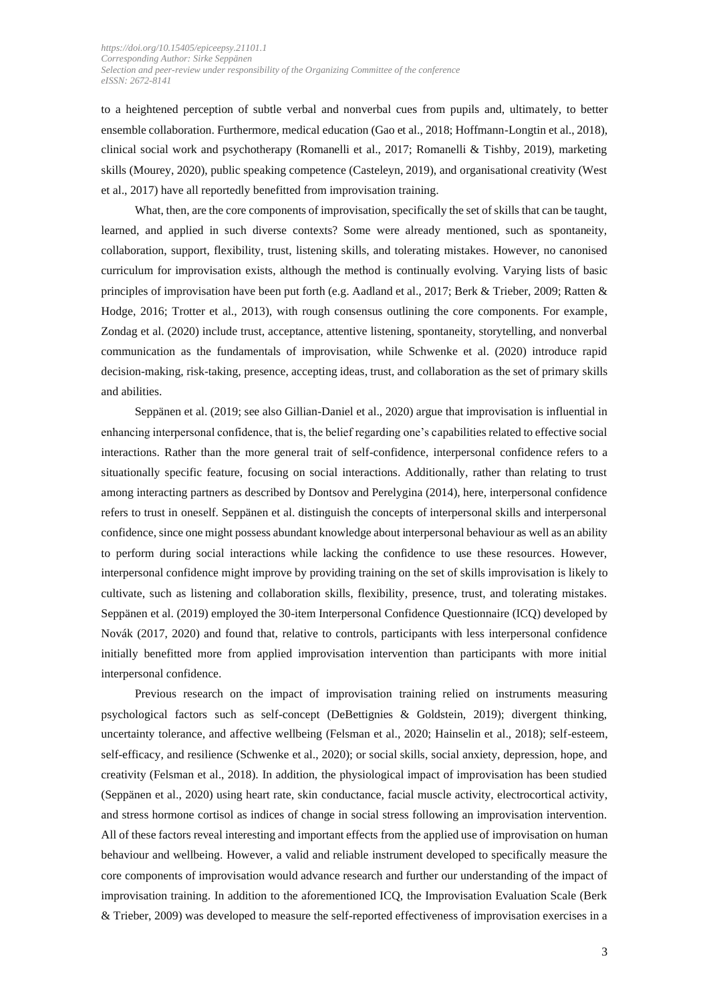to a heightened perception of subtle verbal and nonverbal cues from pupils and, ultimately, to better ensemble collaboration. Furthermore, medical education (Gao et al., 2018; Hoffmann-Longtin et al., 2018), clinical social work and psychotherapy (Romanelli et al., 2017; Romanelli & Tishby, 2019), marketing skills (Mourey, 2020), public speaking competence (Casteleyn, 2019), and organisational creativity (West et al., 2017) have all reportedly benefitted from improvisation training.

What, then, are the core components of improvisation, specifically the set of skills that can be taught, learned, and applied in such diverse contexts? Some were already mentioned, such as spontaneity, collaboration, support, flexibility, trust, listening skills, and tolerating mistakes. However, no canonised curriculum for improvisation exists, although the method is continually evolving. Varying lists of basic principles of improvisation have been put forth (e.g. Aadland et al., 2017; Berk & Trieber, 2009; Ratten & Hodge, 2016; Trotter et al., 2013), with rough consensus outlining the core components. For example, Zondag et al. (2020) include trust, acceptance, attentive listening, spontaneity, storytelling, and nonverbal communication as the fundamentals of improvisation, while Schwenke et al. (2020) introduce rapid decision-making, risk-taking, presence, accepting ideas, trust, and collaboration as the set of primary skills and abilities.

Seppänen et al. (2019; see also Gillian-Daniel et al., 2020) argue that improvisation is influential in enhancing interpersonal confidence, that is, the belief regarding one's capabilities related to effective social interactions. Rather than the more general trait of self-confidence, interpersonal confidence refers to a situationally specific feature, focusing on social interactions. Additionally, rather than relating to trust among interacting partners as described by Dontsov and Perelygina (2014), here, interpersonal confidence refers to trust in oneself. Seppänen et al. distinguish the concepts of interpersonal skills and interpersonal confidence, since one might possess abundant knowledge about interpersonal behaviour as well as an ability to perform during social interactions while lacking the confidence to use these resources. However, interpersonal confidence might improve by providing training on the set of skills improvisation is likely to cultivate, such as listening and collaboration skills, flexibility, presence, trust, and tolerating mistakes. Seppänen et al. (2019) employed the 30-item Interpersonal Confidence Questionnaire (ICQ) developed by Novák (2017, 2020) and found that, relative to controls, participants with less interpersonal confidence initially benefitted more from applied improvisation intervention than participants with more initial interpersonal confidence.

Previous research on the impact of improvisation training relied on instruments measuring psychological factors such as self-concept (DeBettignies & Goldstein, 2019); divergent thinking, uncertainty tolerance, and affective wellbeing (Felsman et al., 2020; Hainselin et al., 2018); self-esteem, self-efficacy, and resilience (Schwenke et al., 2020); or social skills, social anxiety, depression, hope, and creativity (Felsman et al., 2018). In addition, the physiological impact of improvisation has been studied (Seppänen et al., 2020) using heart rate, skin conductance, facial muscle activity, electrocortical activity, and stress hormone cortisol as indices of change in social stress following an improvisation intervention. All of these factors reveal interesting and important effects from the applied use of improvisation on human behaviour and wellbeing. However, a valid and reliable instrument developed to specifically measure the core components of improvisation would advance research and further our understanding of the impact of improvisation training. In addition to the aforementioned ICQ, the Improvisation Evaluation Scale (Berk & Trieber, 2009) was developed to measure the self-reported effectiveness of improvisation exercises in a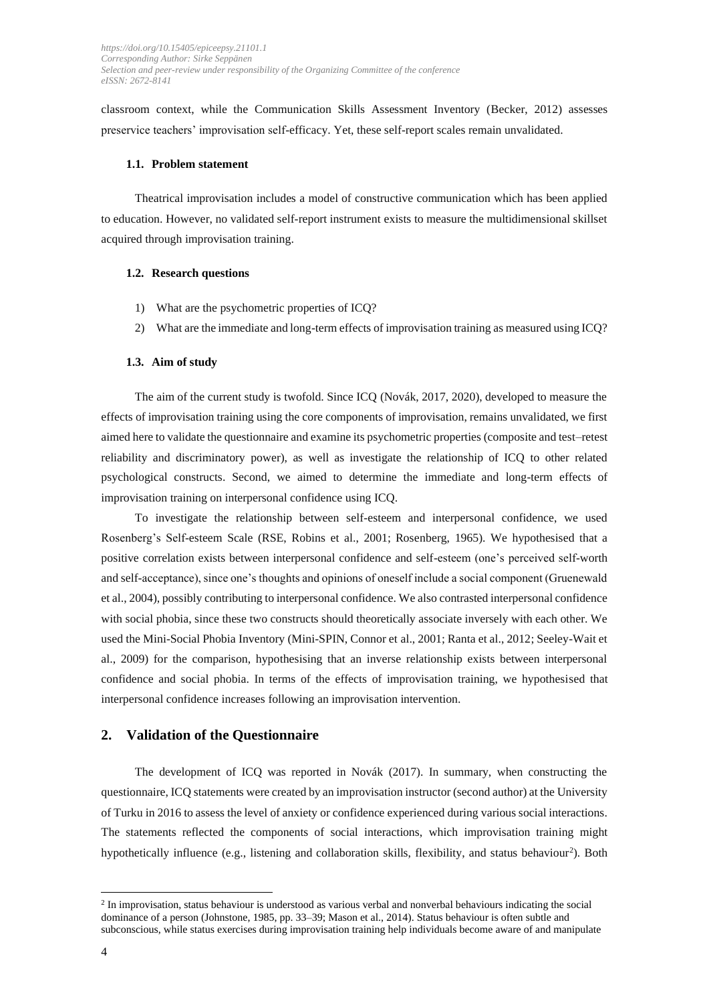classroom context, while the Communication Skills Assessment Inventory (Becker, 2012) assesses preservice teachers' improvisation self-efficacy. Yet, these self-report scales remain unvalidated.

#### **1.1. Problem statement**

Theatrical improvisation includes a model of constructive communication which has been applied to education. However, no validated self-report instrument exists to measure the multidimensional skillset acquired through improvisation training.

#### **1.2. Research questions**

- 1) What are the psychometric properties of ICQ?
- 2) What are the immediate and long-term effects of improvisation training as measured using ICQ?

#### **1.3. Aim of study**

The aim of the current study is twofold. Since ICQ (Novák, 2017, 2020), developed to measure the effects of improvisation training using the core components of improvisation, remains unvalidated, we first aimed here to validate the questionnaire and examine its psychometric properties (composite and test–retest reliability and discriminatory power), as well as investigate the relationship of ICQ to other related psychological constructs. Second, we aimed to determine the immediate and long-term effects of improvisation training on interpersonal confidence using ICQ.

To investigate the relationship between self-esteem and interpersonal confidence, we used Rosenberg's Self-esteem Scale (RSE, Robins et al., 2001; Rosenberg, 1965). We hypothesised that a positive correlation exists between interpersonal confidence and self-esteem (one's perceived self-worth and self-acceptance), since one's thoughts and opinions of oneself include a social component (Gruenewald et al., 2004), possibly contributing to interpersonal confidence. We also contrasted interpersonal confidence with social phobia, since these two constructs should theoretically associate inversely with each other. We used the Mini-Social Phobia Inventory (Mini-SPIN, Connor et al., 2001; Ranta et al., 2012; Seeley-Wait et al., 2009) for the comparison, hypothesising that an inverse relationship exists between interpersonal confidence and social phobia. In terms of the effects of improvisation training, we hypothesised that interpersonal confidence increases following an improvisation intervention.

#### **2. Validation of the Questionnaire**

The development of ICQ was reported in Novák (2017). In summary, when constructing the questionnaire, ICQ statements were created by an improvisation instructor (second author) at the University of Turku in 2016 to assess the level of anxiety or confidence experienced during various social interactions. The statements reflected the components of social interactions, which improvisation training might hypothetically influence (e.g., listening and collaboration skills, flexibility, and status behaviour<sup>2</sup>). Both

<sup>&</sup>lt;sup>2</sup> In improvisation, status behaviour is understood as various verbal and nonverbal behaviours indicating the social dominance of a person (Johnstone, 1985, pp. 33–39; Mason et al., 2014). Status behaviour is often subtle and subconscious, while status exercises during improvisation training help individuals become aware of and manipulate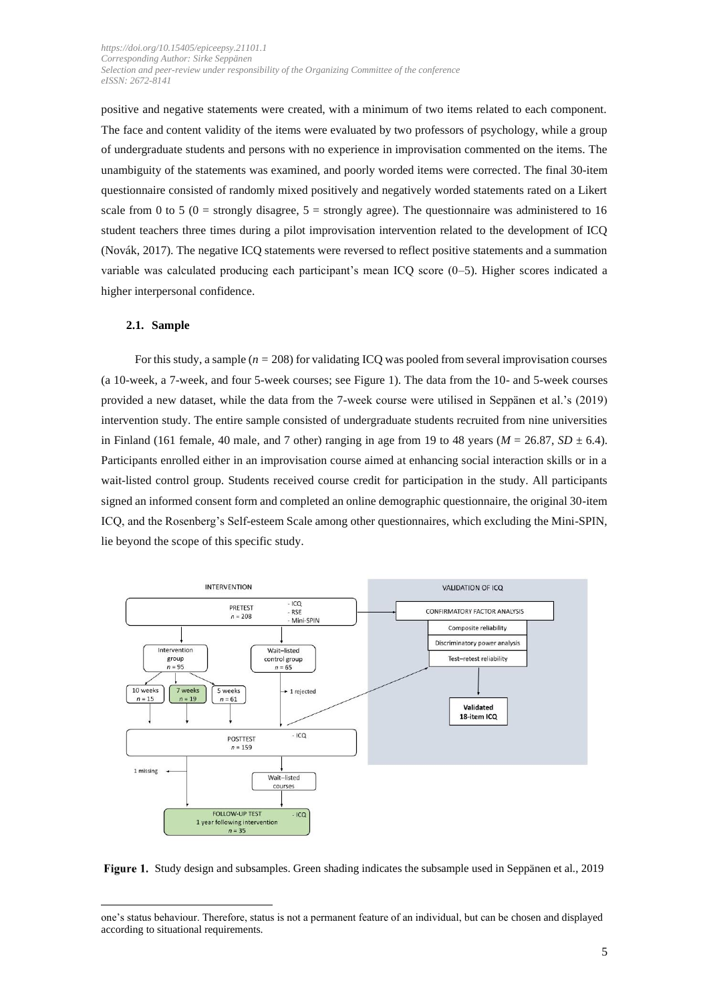positive and negative statements were created, with a minimum of two items related to each component. The face and content validity of the items were evaluated by two professors of psychology, while a group of undergraduate students and persons with no experience in improvisation commented on the items. The unambiguity of the statements was examined, and poorly worded items were corrected. The final 30-item questionnaire consisted of randomly mixed positively and negatively worded statements rated on a Likert scale from 0 to 5 (0 = strongly disagree,  $5 =$  strongly agree). The questionnaire was administered to 16 student teachers three times during a pilot improvisation intervention related to the development of ICQ (Novák, 2017). The negative ICQ statements were reversed to reflect positive statements and a summation variable was calculated producing each participant's mean ICQ score (0–5). Higher scores indicated a higher interpersonal confidence.

#### **2.1. Sample**

For this study, a sample (*n =* 208) for validating ICQ was pooled from several improvisation courses (a 10-week, a 7-week, and four 5-week courses; see Figure 1). The data from the 10- and 5-week courses provided a new dataset, while the data from the 7-week course were utilised in Seppänen et al.'s (2019) intervention study. The entire sample consisted of undergraduate students recruited from nine universities in Finland (161 female, 40 male, and 7 other) ranging in age from 19 to 48 years ( $M = 26.87$ ,  $SD \pm 6.4$ ). Participants enrolled either in an improvisation course aimed at enhancing social interaction skills or in a wait-listed control group. Students received course credit for participation in the study. All participants signed an informed consent form and completed an online demographic questionnaire, the original 30-item ICQ, and the Rosenberg's Self-esteem Scale among other questionnaires, which excluding the Mini-SPIN, lie beyond the scope of this specific study.



Study design and subsamples. Green shading indicates the subsample used in Seppänen et al., 2019

one's status behaviour. Therefore, status is not a permanent feature of an individual, but can be chosen and displayed according to situational requirements.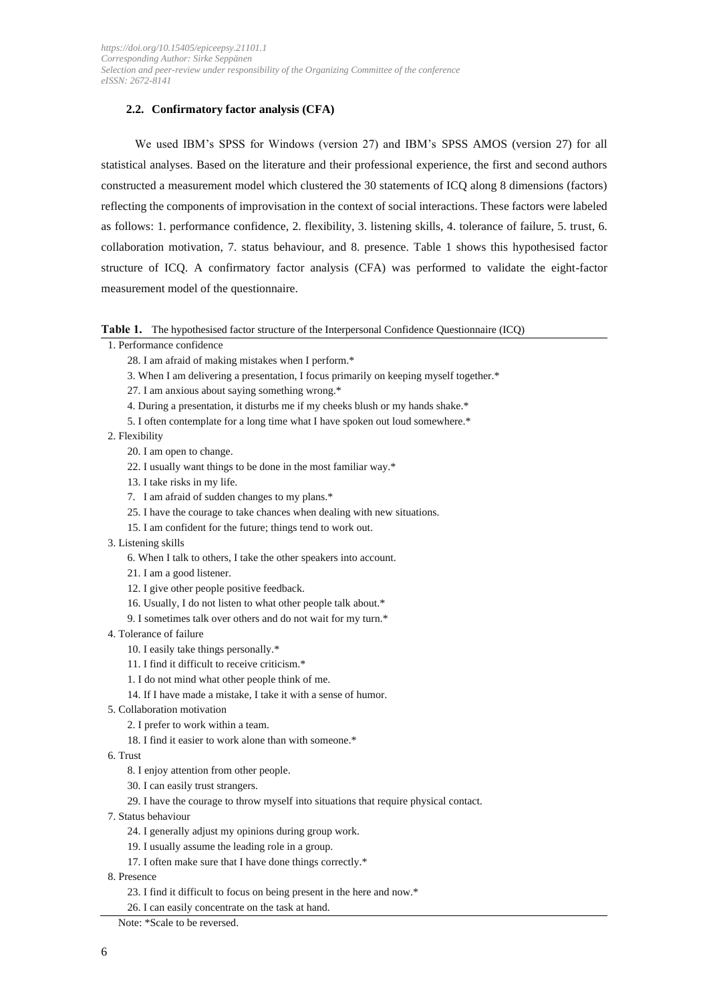#### **2.2. Confirmatory factor analysis (CFA)**

We used IBM's SPSS for Windows (version 27) and IBM's SPSS AMOS (version 27) for all statistical analyses. Based on the literature and their professional experience, the first and second authors constructed a measurement model which clustered the 30 statements of ICQ along 8 dimensions (factors) reflecting the components of improvisation in the context of social interactions. These factors were labeled as follows: 1. performance confidence, 2. flexibility, 3. listening skills, 4. tolerance of failure, 5. trust, 6. collaboration motivation, 7. status behaviour, and 8. presence. Table 1 shows this hypothesised factor structure of ICQ. A confirmatory factor analysis (CFA) was performed to validate the eight-factor measurement model of the questionnaire.

#### **Table 1.** The hypothesised factor structure of the Interpersonal Confidence Questionnaire (ICQ)

- 1. Performance confidence
	- 28. I am afraid of making mistakes when I perform.\*
	- 3. When I am delivering a presentation, I focus primarily on keeping myself together.\*
	- 27. I am anxious about saying something wrong.\*
	- 4. During a presentation, it disturbs me if my cheeks blush or my hands shake.\*
	- 5. I often contemplate for a long time what I have spoken out loud somewhere.\*

2. Flexibility

- 20. I am open to change.
- 22. I usually want things to be done in the most familiar way.\*
- 13. I take risks in my life.
- 7. I am afraid of sudden changes to my plans.\*
- 25. I have the courage to take chances when dealing with new situations.
- 15. I am confident for the future; things tend to work out.
- 3. Listening skills
	- 6. When I talk to others, I take the other speakers into account.
	- 21. I am a good listener.
	- 12. I give other people positive feedback.
	- 16. Usually, I do not listen to what other people talk about.\*
	- 9. I sometimes talk over others and do not wait for my turn.\*
- 4. Tolerance of failure
	- 10. I easily take things personally.\*
	- 11. I find it difficult to receive criticism.\*
	- 1. I do not mind what other people think of me.
	- 14. If I have made a mistake, I take it with a sense of humor.
- 5. Collaboration motivation
	- 2. I prefer to work within a team.
	- 18. I find it easier to work alone than with someone.\*
- 6. Trust
	- 8. I enjoy attention from other people.
	- 30. I can easily trust strangers.
	- 29. I have the courage to throw myself into situations that require physical contact.
- 7. Status behaviour
	- 24. I generally adjust my opinions during group work.
	- 19. I usually assume the leading role in a group.
	- 17. I often make sure that I have done things correctly.\*
- 8. Presence
	- 23. I find it difficult to focus on being present in the here and now.\*
	- 26. I can easily concentrate on the task at hand.

Note: \*Scale to be reversed.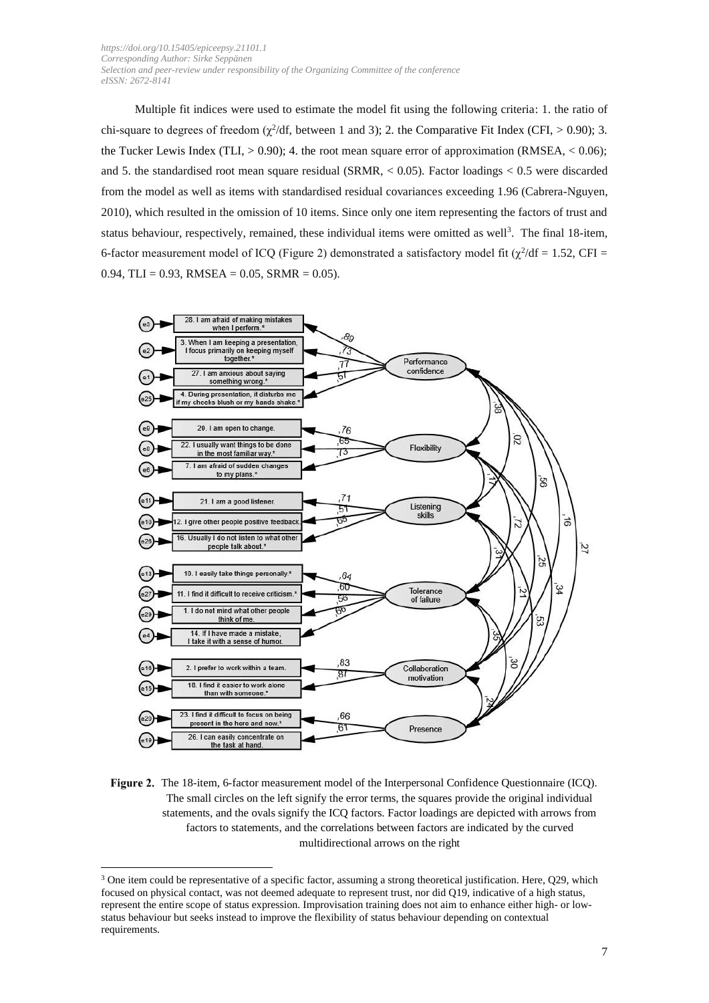Multiple fit indices were used to estimate the model fit using the following criteria: 1. the ratio of chi-square to degrees of freedom  $(\chi^2/df,$  between 1 and 3); 2. the Comparative Fit Index (CFI,  $> 0.90$ ); 3. the Tucker Lewis Index (TLI,  $> 0.90$ ); 4. the root mean square error of approximation (RMSEA,  $< 0.06$ ); and 5. the standardised root mean square residual (SRMR,  $< 0.05$ ). Factor loadings  $< 0.5$  were discarded from the model as well as items with standardised residual covariances exceeding 1.96 (Cabrera-Nguyen, 2010), which resulted in the omission of 10 items. Since only one item representing the factors of trust and status behaviour, respectively, remained, these individual items were omitted as well<sup>3</sup>. The final 18-item, 6-factor measurement model of ICQ (Figure 2) demonstrated a satisfactory model fit  $(\chi^2/df = 1.52, \text{CFI} =$  $0.94$ , TLI = 0.93, RMSEA = 0.05, SRMR = 0.05).



Figure 2. The 18-item, 6-factor measurement model of the Interpersonal Confidence Questionnaire (ICQ). The small circles on the left signify the error terms, the squares provide the original individual statements, and the ovals signify the ICQ factors. Factor loadings are depicted with arrows from factors to statements, and the correlations between factors are indicated by the curved multidirectional arrows on the right

 $3$  One item could be representative of a specific factor, assuming a strong theoretical justification. Here,  $Q29$ , which focused on physical contact, was not deemed adequate to represent trust, nor did Q19, indicative of a high status, represent the entire scope of status expression. Improvisation training does not aim to enhance either high- or lowstatus behaviour but seeks instead to improve the flexibility of status behaviour depending on contextual requirements.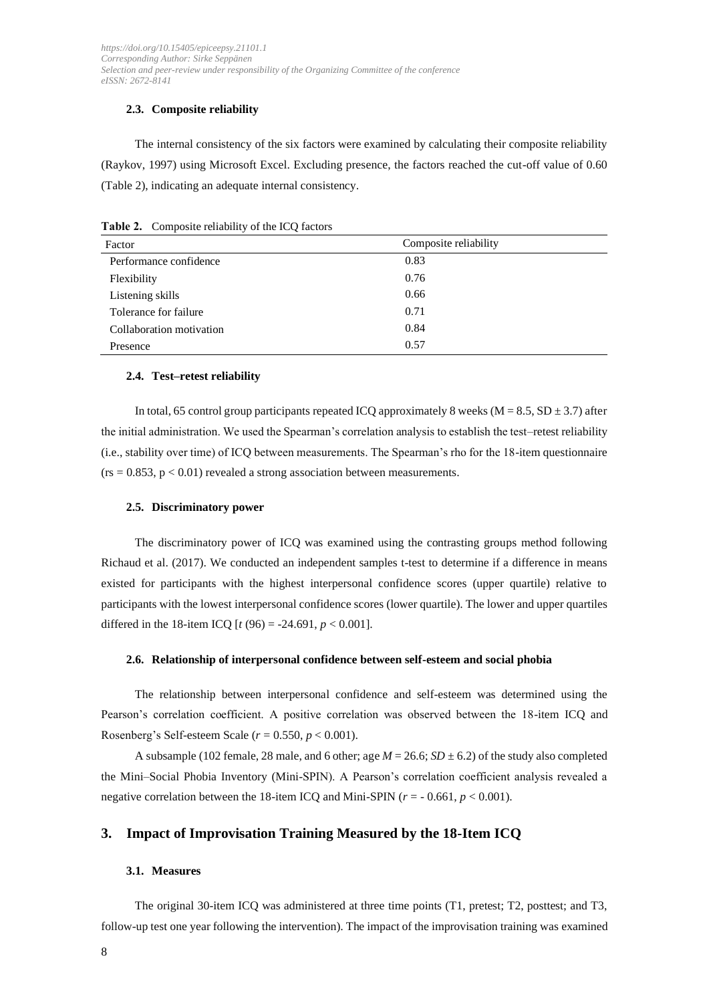#### **2.3. Composite reliability**

The internal consistency of the six factors were examined by calculating their composite reliability (Raykov, 1997) using Microsoft Excel. Excluding presence, the factors reached the cut-off value of 0.60 (Table 2), indicating an adequate internal consistency.

| Factor                   | Composite reliability |  |  |
|--------------------------|-----------------------|--|--|
| Performance confidence   | 0.83                  |  |  |
| Flexibility              | 0.76                  |  |  |
| Listening skills         | 0.66                  |  |  |
| Tolerance for failure    | 0.71                  |  |  |
| Collaboration motivation | 0.84                  |  |  |
| Presence                 | 0.57                  |  |  |

**Table 2.** Composite reliability of the ICQ factors

#### **2.4. Test–retest reliability**

In total, 65 control group participants repeated ICQ approximately 8 weeks ( $M = 8.5$ , SD  $\pm$  3.7) after the initial administration. We used the Spearman's correlation analysis to establish the test–retest reliability (i.e., stability over time) of ICQ between measurements. The Spearman's rho for the 18-item questionnaire  $(r_s = 0.853, p < 0.01)$  revealed a strong association between measurements.

#### **2.5. Discriminatory power**

The discriminatory power of ICQ was examined using the contrasting groups method following Richaud et al. (2017). We conducted an independent samples t-test to determine if a difference in means existed for participants with the highest interpersonal confidence scores (upper quartile) relative to participants with the lowest interpersonal confidence scores (lower quartile). The lower and upper quartiles differed in the 18-item ICQ  $[t (96) = -24.691, p < 0.001]$ .

#### **2.6. Relationship of interpersonal confidence between self-esteem and social phobia**

The relationship between interpersonal confidence and self-esteem was determined using the Pearson's correlation coefficient. A positive correlation was observed between the 18-item ICQ and Rosenberg's Self-esteem Scale (*r* = 0.550, *p* < 0.001).

A subsample (102 female, 28 male, and 6 other; age  $M = 26.6$ ;  $SD \pm 6.2$ ) of the study also completed the Mini–Social Phobia Inventory (Mini-SPIN). A Pearson's correlation coefficient analysis revealed a negative correlation between the 18-item ICQ and Mini-SPIN ( $r = -0.661$ ,  $p < 0.001$ ).

## **3. Impact of Improvisation Training Measured by the 18-Item ICQ**

#### **3.1. Measures**

The original 30-item ICQ was administered at three time points (T1, pretest; T2, posttest; and T3, follow-up test one year following the intervention). The impact of the improvisation training was examined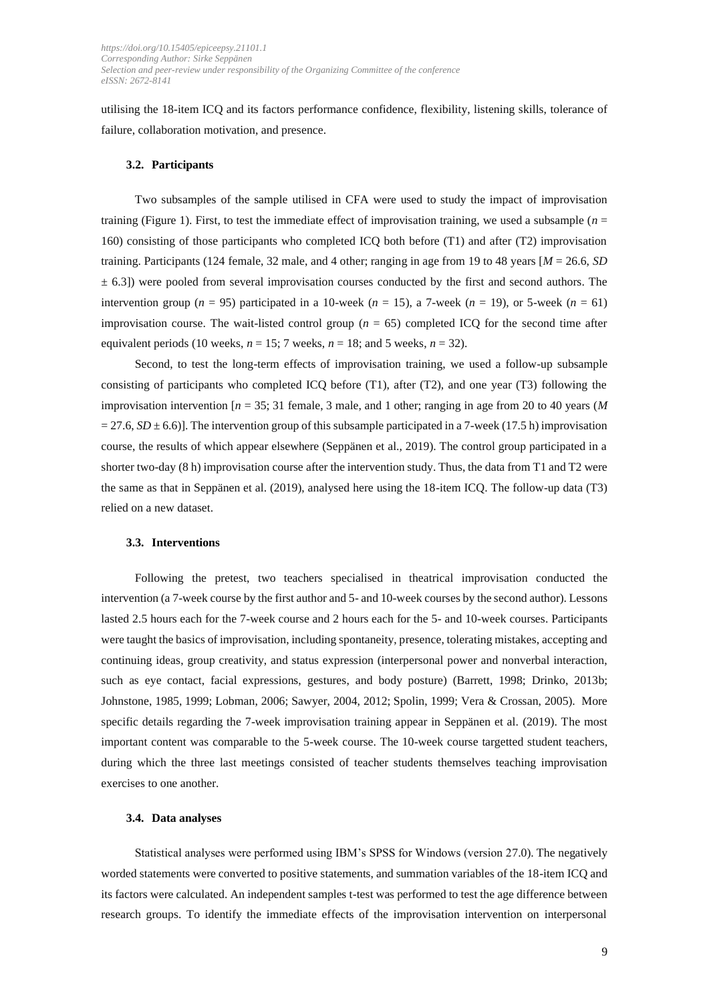utilising the 18-item ICQ and its factors performance confidence, flexibility, listening skills, tolerance of failure, collaboration motivation, and presence.

#### **3.2. Participants**

Two subsamples of the sample utilised in CFA were used to study the impact of improvisation training (Figure 1). First, to test the immediate effect of improvisation training, we used a subsample ( $n =$ 160) consisting of those participants who completed ICQ both before (T1) and after (T2) improvisation training. Participants (124 female, 32 male, and 4 other; ranging in age from 19 to 48 years [*M* = 26.6, *SD*  $\pm$  6.3]) were pooled from several improvisation courses conducted by the first and second authors. The intervention group ( $n = 95$ ) participated in a 10-week ( $n = 15$ ), a 7-week ( $n = 19$ ), or 5-week ( $n = 61$ ) improvisation course. The wait-listed control group ( $n = 65$ ) completed ICQ for the second time after equivalent periods (10 weeks,  $n = 15$ ; 7 weeks,  $n = 18$ ; and 5 weeks,  $n = 32$ ).

Second, to test the long-term effects of improvisation training, we used a follow-up subsample consisting of participants who completed ICQ before (T1), after (T2), and one year (T3) following the improvisation intervention  $[n = 35; 31]$  female, 3 male, and 1 other; ranging in age from 20 to 40 years (*M*  $= 27.6, SD \pm 6.6$ ). The intervention group of this subsample participated in a 7-week (17.5 h) improvisation course, the results of which appear elsewhere (Seppänen et al., 2019). The control group participated in a shorter two-day (8 h) improvisation course after the intervention study. Thus, the data from T1 and T2 were the same as that in Seppänen et al. (2019), analysed here using the 18-item ICQ. The follow-up data (T3) relied on a new dataset.

#### **3.3. Interventions**

Following the pretest, two teachers specialised in theatrical improvisation conducted the intervention (a 7-week course by the first author and 5- and 10-week courses by the second author). Lessons lasted 2.5 hours each for the 7-week course and 2 hours each for the 5- and 10-week courses. Participants were taught the basics of improvisation, including spontaneity, presence, tolerating mistakes, accepting and continuing ideas, group creativity, and status expression (interpersonal power and nonverbal interaction, such as eye contact, facial expressions, gestures, and body posture) (Barrett, 1998; Drinko, 2013b; Johnstone, 1985, 1999; Lobman, 2006; Sawyer, 2004, 2012; Spolin, 1999; Vera & Crossan, 2005). More specific details regarding the 7-week improvisation training appear in Seppänen et al. (2019). The most important content was comparable to the 5-week course. The 10-week course targetted student teachers, during which the three last meetings consisted of teacher students themselves teaching improvisation exercises to one another.

#### **3.4. Data analyses**

Statistical analyses were performed using IBM's SPSS for Windows (version 27.0). The negatively worded statements were converted to positive statements, and summation variables of the 18-item ICQ and its factors were calculated. An independent samples t-test was performed to test the age difference between research groups. To identify the immediate effects of the improvisation intervention on interpersonal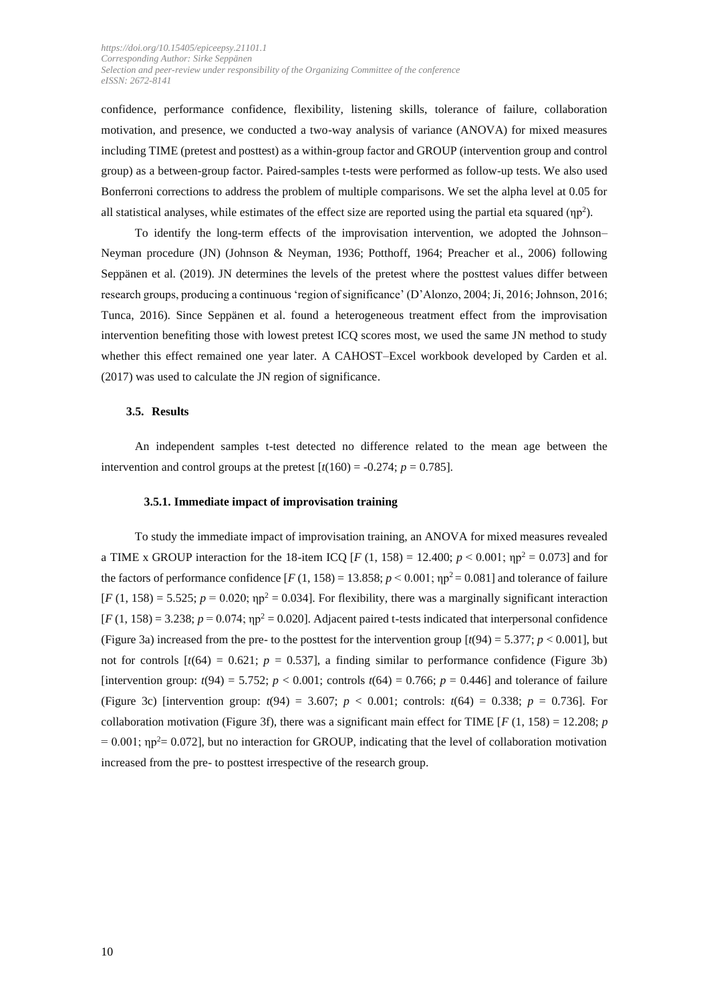confidence, performance confidence, flexibility, listening skills, tolerance of failure, collaboration motivation, and presence, we conducted a two-way analysis of variance (ANOVA) for mixed measures including TIME (pretest and posttest) as a within-group factor and GROUP (intervention group and control group) as a between-group factor. Paired-samples t-tests were performed as follow-up tests. We also used Bonferroni corrections to address the problem of multiple comparisons. We set the alpha level at 0.05 for all statistical analyses, while estimates of the effect size are reported using the partial eta squared  $(np<sup>2</sup>)$ .

To identify the long-term effects of the improvisation intervention, we adopted the Johnson– Neyman procedure (JN) (Johnson & Neyman, 1936; Potthoff, 1964; Preacher et al., 2006) following Seppänen et al. (2019). JN determines the levels of the pretest where the posttest values differ between research groups, producing a continuous 'region of significance' (D'Alonzo, 2004; Ji, 2016; Johnson, 2016; Tunca, 2016). Since Seppänen et al. found a heterogeneous treatment effect from the improvisation intervention benefiting those with lowest pretest ICQ scores most, we used the same JN method to study whether this effect remained one year later. A CAHOST–Excel workbook developed by Carden et al. (2017) was used to calculate the JN region of significance.

#### **3.5. Results**

An independent samples t-test detected no difference related to the mean age between the intervention and control groups at the pretest  $[t(160) = -0.274; p = 0.785]$ .

#### **3.5.1. Immediate impact of improvisation training**

To study the immediate impact of improvisation training, an ANOVA for mixed measures revealed a TIME x GROUP interaction for the 18-item ICQ [*F* (1, 158) = 12.400;  $p < 0.001$ ;  $np^2 = 0.073$ ] and for the factors of performance confidence  $[F(1, 158) = 13.858; p < 0.001; np^2 = 0.081]$  and tolerance of failure  $[F(1, 158)] = 5.525$ ;  $p = 0.020$ ;  $np^2 = 0.034$ . For flexibility, there was a marginally significant interaction  $[F(1, 158) = 3.238; p = 0.074; \eta p^2 = 0.020]$ . Adjacent paired t-tests indicated that interpersonal confidence (Figure 3a) increased from the pre- to the posttest for the intervention group  $\left[\frac{t(94)}{5.377};\frac{p}{\sqrt{6}}\right]$ , but not for controls  $[t(64) = 0.621; p = 0.537]$ , a finding similar to performance confidence (Figure 3b) [intervention group:  $t(94) = 5.752$ ;  $p < 0.001$ ; controls  $t(64) = 0.766$ ;  $p = 0.446$ ] and tolerance of failure (Figure 3c) [intervention group:  $t(94) = 3.607$ ;  $p < 0.001$ ; controls:  $t(64) = 0.338$ ;  $p = 0.736$ ]. For collaboration motivation (Figure 3f), there was a significant main effect for TIME  $[F(1, 158) = 12.208; p$  $= 0.001$ ;  $np^2 = 0.072$ , but no interaction for GROUP, indicating that the level of collaboration motivation increased from the pre- to posttest irrespective of the research group.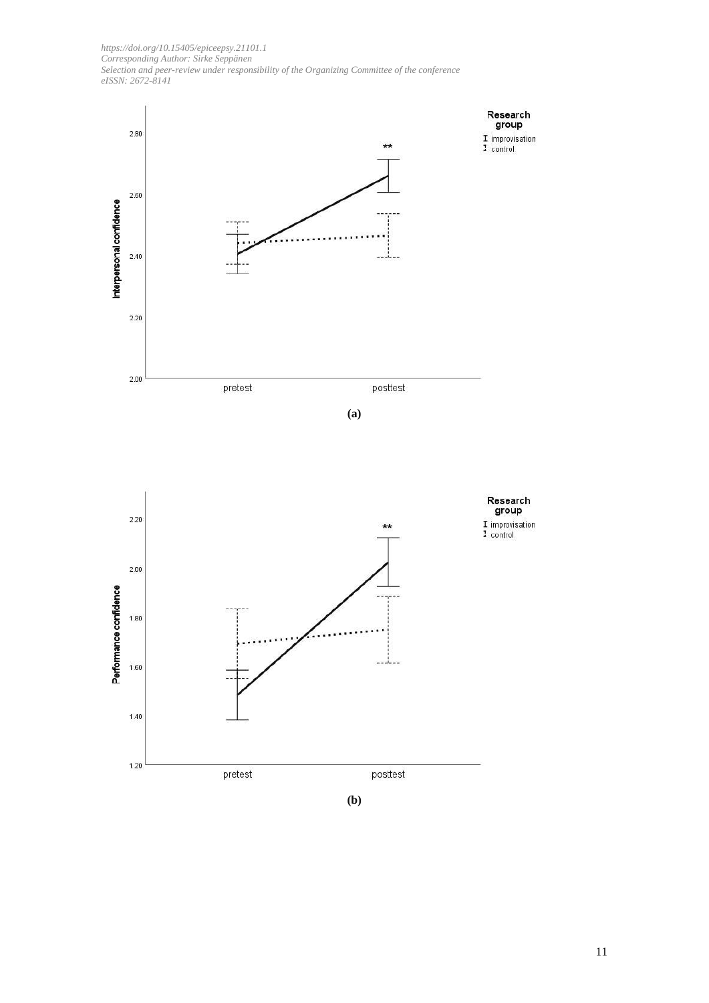



**(b)**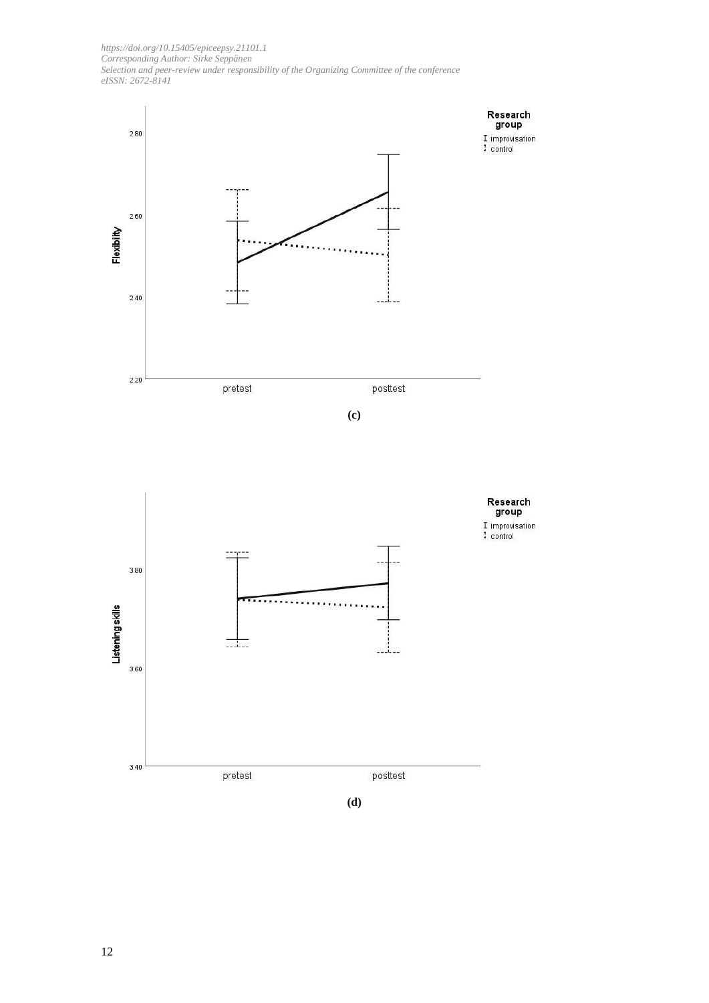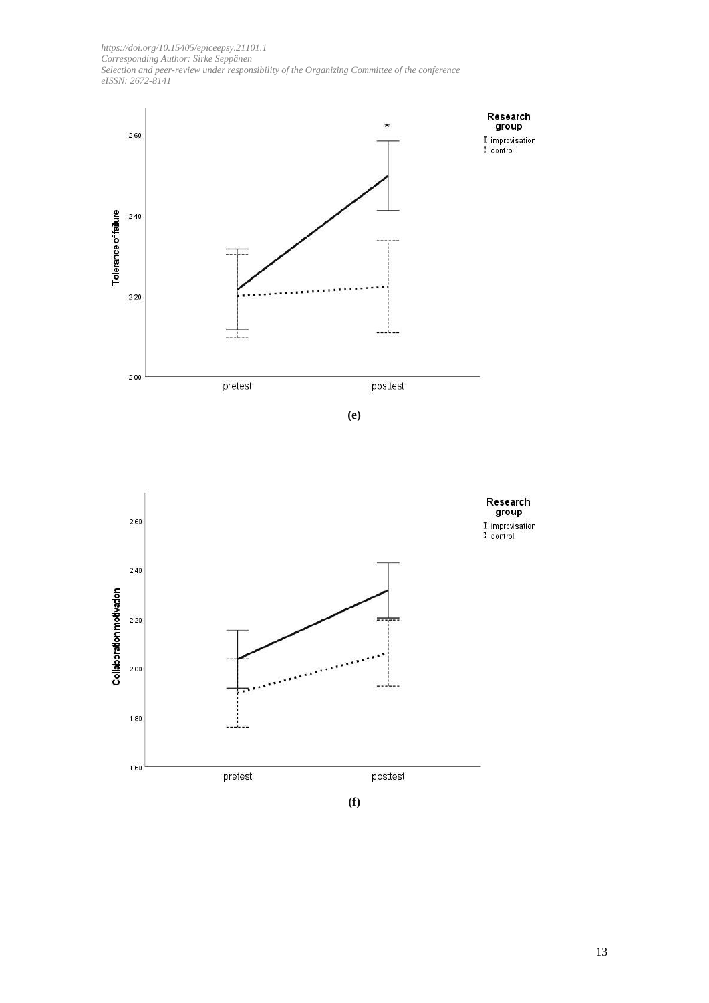





**(f)**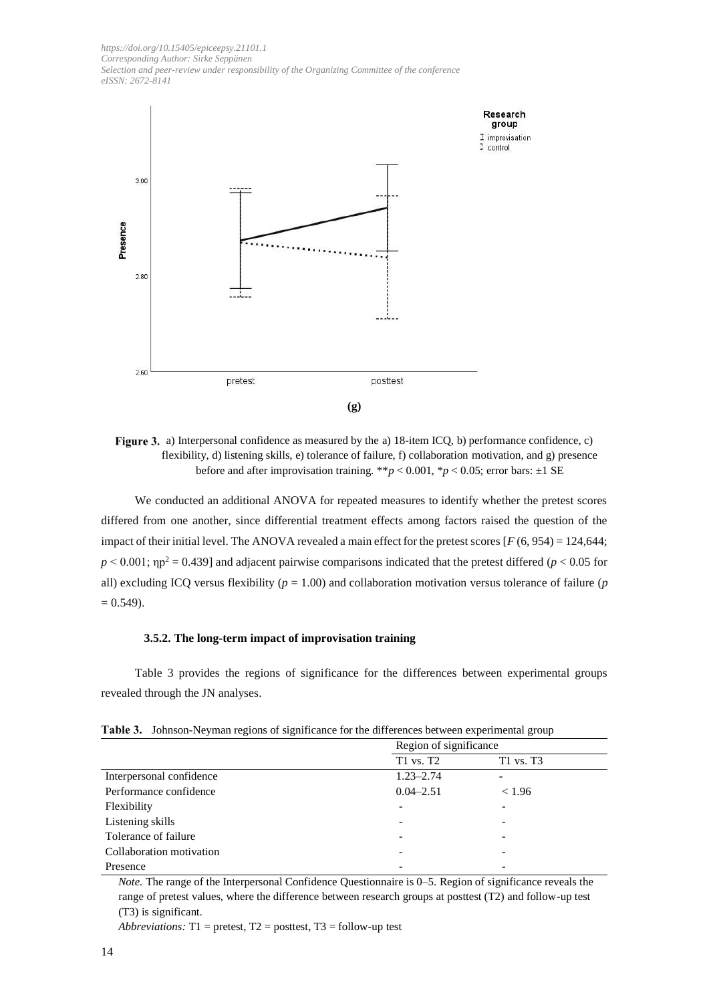

**Figure 3.** a) Interpersonal confidence as measured by the a) 18-item ICQ, b) performance confidence, c) flexibility, d) listening skills, e) tolerance of failure, f) collaboration motivation, and g) presence before and after improvisation training. \*\* $p < 0.001$ , \* $p < 0.05$ ; error bars:  $\pm 1$  SE

We conducted an additional ANOVA for repeated measures to identify whether the pretest scores differed from one another, since differential treatment effects among factors raised the question of the impact of their initial level. The ANOVA revealed a main effect for the pretest scores  $[F(6, 954) = 124,644;$  $p < 0.001$ ;  $np^2 = 0.439$ ] and adjacent pairwise comparisons indicated that the pretest differed ( $p < 0.05$  for all) excluding ICQ versus flexibility (*p* = 1.00) and collaboration motivation versus tolerance of failure (*p*  $= 0.549$ ).

#### **3.5.2. The long-term impact of improvisation training**

Table 3 provides the regions of significance for the differences between experimental groups revealed through the JN analyses.

|                          |               | Region of significance |  |  |
|--------------------------|---------------|------------------------|--|--|
|                          | T1 vs. T2     | T1 vs. T3              |  |  |
| Interpersonal confidence | $1.23 - 2.74$ |                        |  |  |
| Performance confidence   | $0.04 - 2.51$ | < 1.96                 |  |  |
| Flexibility              |               |                        |  |  |
| Listening skills         |               |                        |  |  |
| Tolerance of failure     | ۰             |                        |  |  |
| Collaboration motivation |               |                        |  |  |
| Presence                 |               |                        |  |  |

**Table 3.** Johnson-Neyman regions of significance for the differences between experimental group

*Note.* The range of the Interpersonal Confidence Questionnaire is 0–5. Region of significance reveals the range of pretest values, where the difference between research groups at posttest (T2) and follow-up test (T3) is significant.

*Abbreviations:* T1 = pretest, T2 = posttest, T3 = follow-up test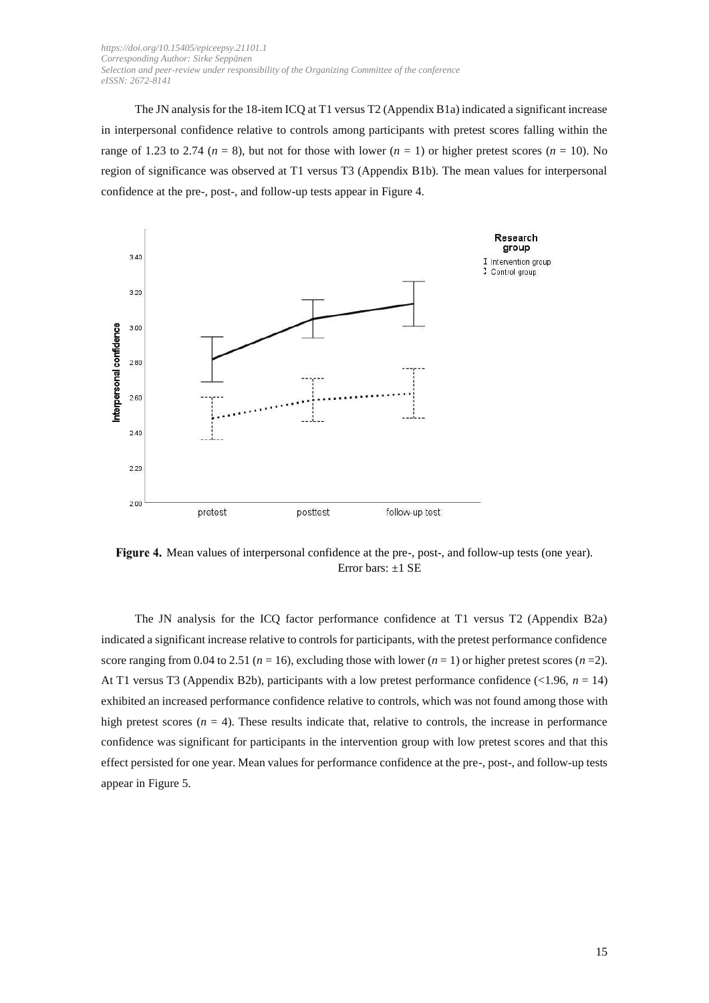The JN analysis for the 18-item ICQ at T1 versus T2 (Appendix B1a) indicated a significant increase in interpersonal confidence relative to controls among participants with pretest scores falling within the range of 1.23 to 2.74 ( $n = 8$ ), but not for those with lower ( $n = 1$ ) or higher pretest scores ( $n = 10$ ). No region of significance was observed at T1 versus T3 (Appendix B1b). The mean values for interpersonal confidence at the pre-, post-, and follow-up tests appear in Figure 4.



Figure 4. Mean values of interpersonal confidence at the pre-, post-, and follow-up tests (one year). Error bars: ±1 SE

The JN analysis for the ICQ factor performance confidence at T1 versus T2 (Appendix B2a) indicated a significant increase relative to controls for participants, with the pretest performance confidence score ranging from 0.04 to 2.51 ( $n = 16$ ), excluding those with lower ( $n = 1$ ) or higher pretest scores ( $n = 2$ ). At T1 versus T3 (Appendix B2b), participants with a low pretest performance confidence (<1.96, *n* = 14) exhibited an increased performance confidence relative to controls, which was not found among those with high pretest scores  $(n = 4)$ . These results indicate that, relative to controls, the increase in performance confidence was significant for participants in the intervention group with low pretest scores and that this effect persisted for one year. Mean values for performance confidence at the pre-, post-, and follow-up tests appear in Figure 5.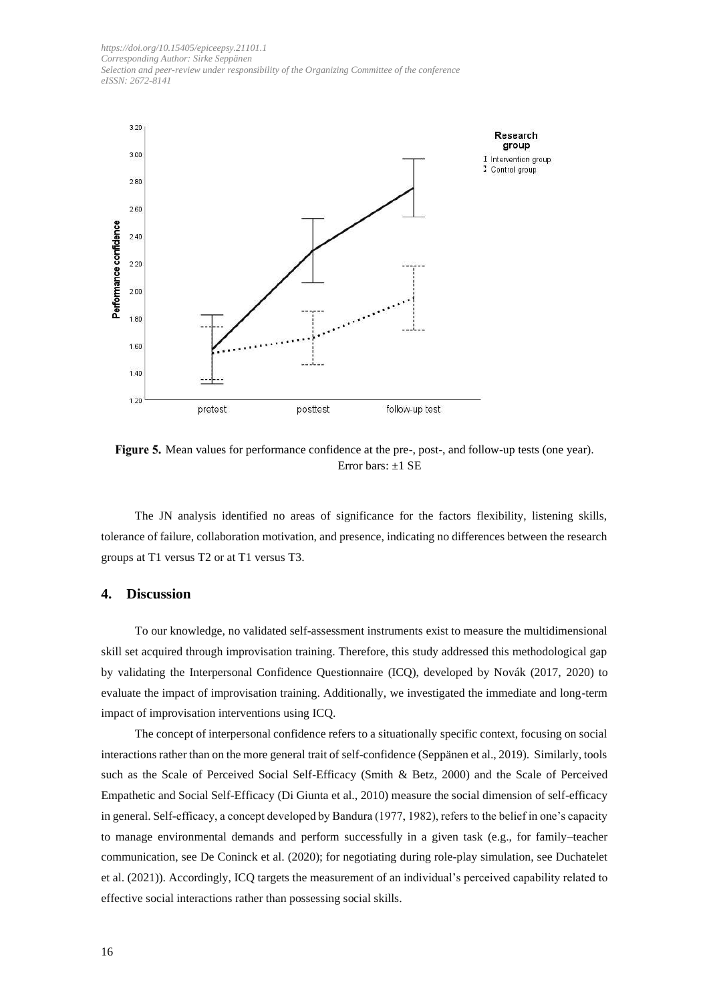

Figure 5. Mean values for performance confidence at the pre-, post-, and follow-up tests (one year). Error bars: ±1 SE

The JN analysis identified no areas of significance for the factors flexibility, listening skills, tolerance of failure, collaboration motivation, and presence, indicating no differences between the research groups at T1 versus T2 or at T1 versus T3.

#### **4. Discussion**

To our knowledge, no validated self-assessment instruments exist to measure the multidimensional skill set acquired through improvisation training. Therefore, this study addressed this methodological gap by validating the Interpersonal Confidence Questionnaire (ICQ), developed by Novák (2017, 2020) to evaluate the impact of improvisation training. Additionally, we investigated the immediate and long-term impact of improvisation interventions using ICQ.

The concept of interpersonal confidence refers to a situationally specific context, focusing on social interactions rather than on the more general trait of self-confidence (Seppänen et al., 2019). Similarly, tools such as the Scale of Perceived Social Self-Efficacy (Smith & Betz, 2000) and the Scale of Perceived Empathetic and Social Self-Efficacy (Di Giunta et al., 2010) measure the social dimension of self-efficacy in general. Self-efficacy, a concept developed by Bandura (1977, 1982), refers to the belief in one's capacity to manage environmental demands and perform successfully in a given task (e.g., for family–teacher communication, see De Coninck et al. (2020); for negotiating during role-play simulation, see Duchatelet et al. (2021)). Accordingly, ICQ targets the measurement of an individual's perceived capability related to effective social interactions rather than possessing social skills.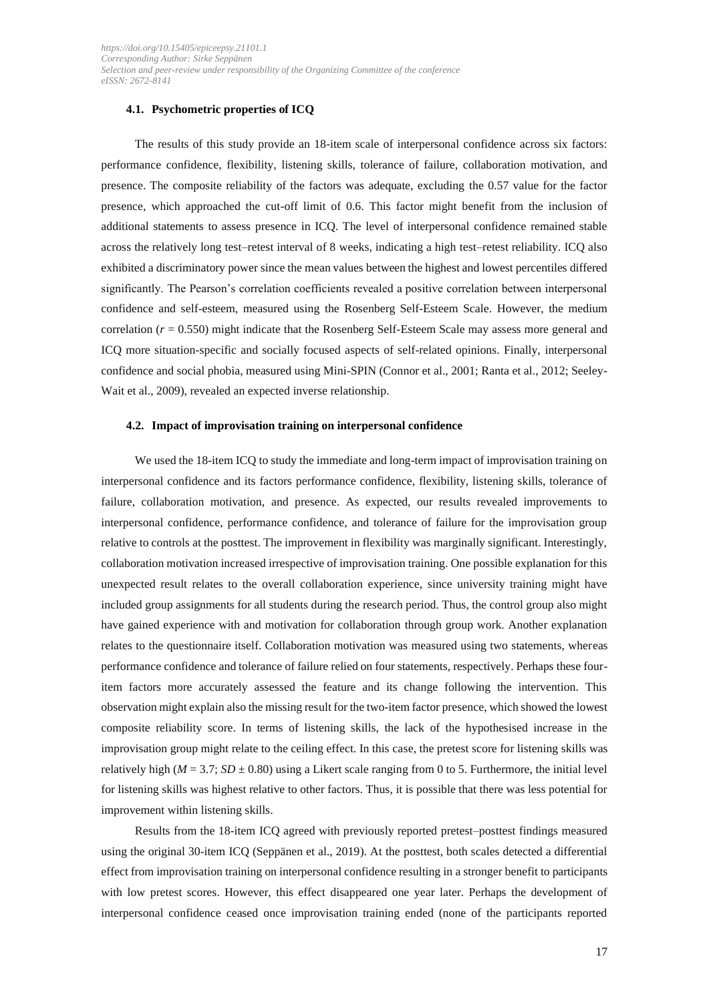#### **4.1. Psychometric properties of ICQ**

The results of this study provide an 18-item scale of interpersonal confidence across six factors: performance confidence, flexibility, listening skills, tolerance of failure, collaboration motivation, and presence. The composite reliability of the factors was adequate, excluding the 0.57 value for the factor presence, which approached the cut-off limit of 0.6. This factor might benefit from the inclusion of additional statements to assess presence in ICQ. The level of interpersonal confidence remained stable across the relatively long test–retest interval of 8 weeks, indicating a high test–retest reliability. ICQ also exhibited a discriminatory power since the mean values between the highest and lowest percentiles differed significantly. The Pearson's correlation coefficients revealed a positive correlation between interpersonal confidence and self-esteem, measured using the Rosenberg Self-Esteem Scale. However, the medium correlation (*r* = 0.550) might indicate that the Rosenberg Self-Esteem Scale may assess more general and ICQ more situation-specific and socially focused aspects of self-related opinions. Finally, interpersonal confidence and social phobia, measured using Mini-SPIN (Connor et al., 2001; Ranta et al., 2012; Seeley-Wait et al., 2009), revealed an expected inverse relationship.

#### **4.2. Impact of improvisation training on interpersonal confidence**

We used the 18-item ICQ to study the immediate and long-term impact of improvisation training on interpersonal confidence and its factors performance confidence, flexibility, listening skills, tolerance of failure, collaboration motivation, and presence. As expected, our results revealed improvements to interpersonal confidence, performance confidence, and tolerance of failure for the improvisation group relative to controls at the posttest. The improvement in flexibility was marginally significant. Interestingly, collaboration motivation increased irrespective of improvisation training. One possible explanation for this unexpected result relates to the overall collaboration experience, since university training might have included group assignments for all students during the research period. Thus, the control group also might have gained experience with and motivation for collaboration through group work. Another explanation relates to the questionnaire itself. Collaboration motivation was measured using two statements, whereas performance confidence and tolerance of failure relied on four statements, respectively. Perhaps these fouritem factors more accurately assessed the feature and its change following the intervention. This observation might explain also the missing result for the two-item factor presence, which showed the lowest composite reliability score. In terms of listening skills, the lack of the hypothesised increase in the improvisation group might relate to the ceiling effect. In this case, the pretest score for listening skills was relatively high ( $M = 3.7$ ;  $SD \pm 0.80$ ) using a Likert scale ranging from 0 to 5. Furthermore, the initial level for listening skills was highest relative to other factors. Thus, it is possible that there was less potential for improvement within listening skills.

Results from the 18-item ICQ agreed with previously reported pretest–posttest findings measured using the original 30-item ICQ (Seppänen et al., 2019). At the posttest, both scales detected a differential effect from improvisation training on interpersonal confidence resulting in a stronger benefit to participants with low pretest scores. However, this effect disappeared one year later. Perhaps the development of interpersonal confidence ceased once improvisation training ended (none of the participants reported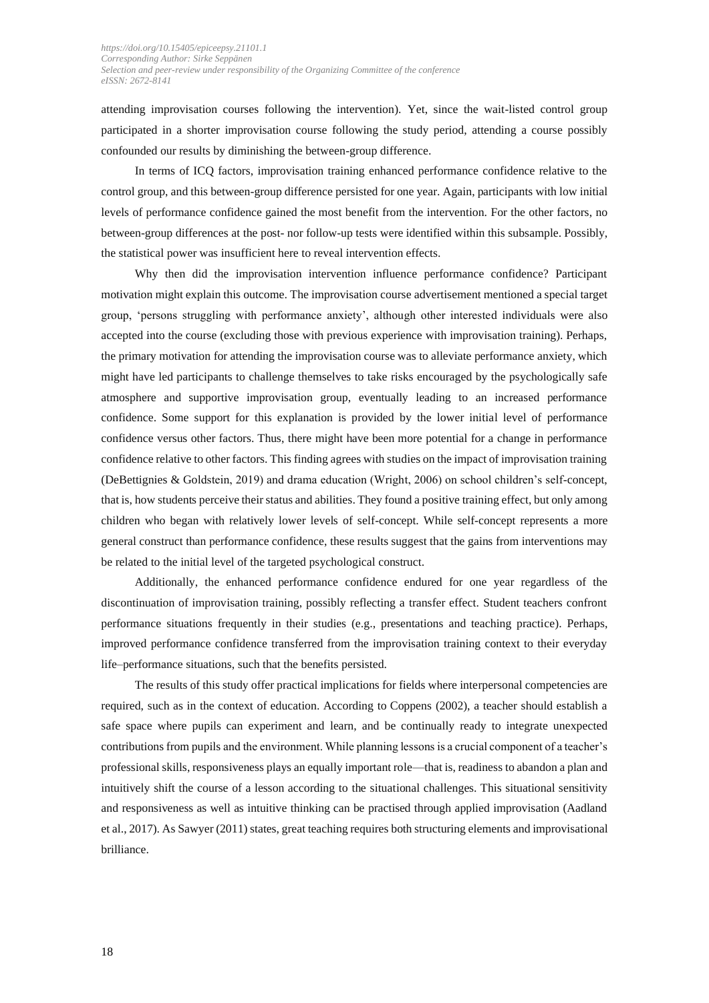attending improvisation courses following the intervention). Yet, since the wait-listed control group participated in a shorter improvisation course following the study period, attending a course possibly confounded our results by diminishing the between-group difference.

In terms of ICQ factors, improvisation training enhanced performance confidence relative to the control group, and this between-group difference persisted for one year. Again, participants with low initial levels of performance confidence gained the most benefit from the intervention. For the other factors, no between-group differences at the post- nor follow-up tests were identified within this subsample. Possibly, the statistical power was insufficient here to reveal intervention effects.

Why then did the improvisation intervention influence performance confidence? Participant motivation might explain this outcome. The improvisation course advertisement mentioned a special target group, 'persons struggling with performance anxiety', although other interested individuals were also accepted into the course (excluding those with previous experience with improvisation training). Perhaps, the primary motivation for attending the improvisation course was to alleviate performance anxiety, which might have led participants to challenge themselves to take risks encouraged by the psychologically safe atmosphere and supportive improvisation group, eventually leading to an increased performance confidence. Some support for this explanation is provided by the lower initial level of performance confidence versus other factors. Thus, there might have been more potential for a change in performance confidence relative to other factors. This finding agrees with studies on the impact of improvisation training (DeBettignies & Goldstein, 2019) and drama education (Wright, 2006) on school children's self-concept, that is, how students perceive their status and abilities. They found a positive training effect, but only among children who began with relatively lower levels of self-concept. While self-concept represents a more general construct than performance confidence, these results suggest that the gains from interventions may be related to the initial level of the targeted psychological construct.

Additionally, the enhanced performance confidence endured for one year regardless of the discontinuation of improvisation training, possibly reflecting a transfer effect. Student teachers confront performance situations frequently in their studies (e.g., presentations and teaching practice). Perhaps, improved performance confidence transferred from the improvisation training context to their everyday life–performance situations, such that the benefits persisted.

The results of this study offer practical implications for fields where interpersonal competencies are required, such as in the context of education. According to Coppens (2002), a teacher should establish a safe space where pupils can experiment and learn, and be continually ready to integrate unexpected contributions from pupils and the environment. While planning lessons is a crucial component of a teacher's professional skills, responsiveness plays an equally important role—that is, readiness to abandon a plan and intuitively shift the course of a lesson according to the situational challenges. This situational sensitivity and responsiveness as well as intuitive thinking can be practised through applied improvisation (Aadland et al., 2017). As Sawyer (2011) states, great teaching requires both structuring elements and improvisational brilliance.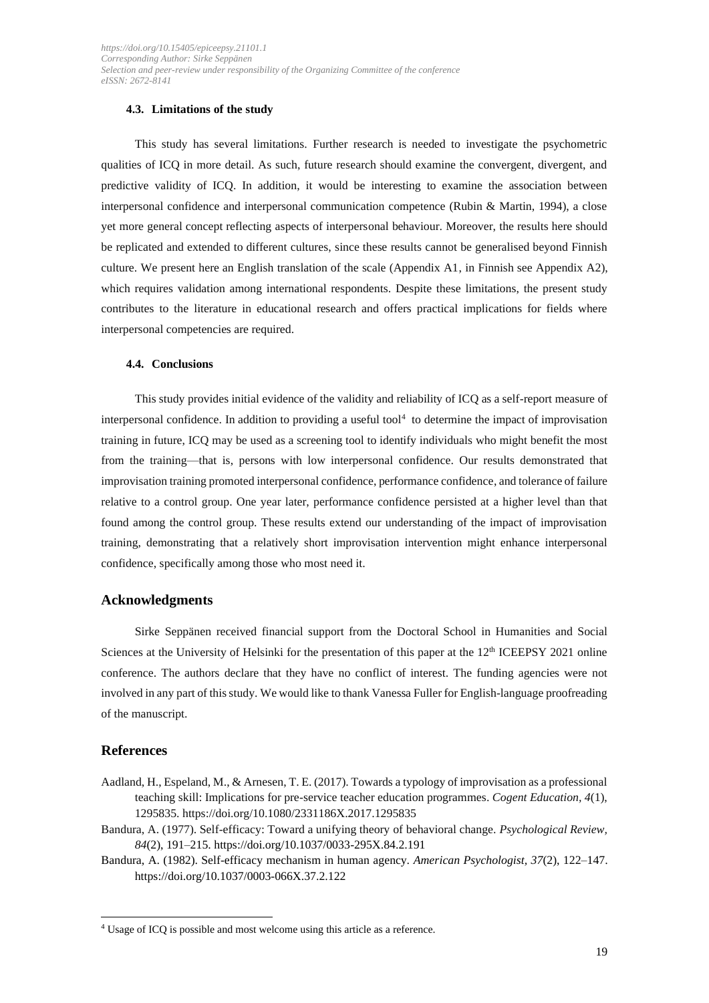#### **4.3. Limitations of the study**

This study has several limitations. Further research is needed to investigate the psychometric qualities of ICQ in more detail. As such, future research should examine the convergent, divergent, and predictive validity of ICQ. In addition, it would be interesting to examine the association between interpersonal confidence and interpersonal communication competence (Rubin & Martin, 1994), a close yet more general concept reflecting aspects of interpersonal behaviour. Moreover, the results here should be replicated and extended to different cultures, since these results cannot be generalised beyond Finnish culture. We present here an English translation of the scale (Appendix A1, in Finnish see Appendix A2), which requires validation among international respondents. Despite these limitations, the present study contributes to the literature in educational research and offers practical implications for fields where interpersonal competencies are required.

#### **4.4. Conclusions**

This study provides initial evidence of the validity and reliability of ICQ as a self-report measure of interpersonal confidence. In addition to providing a useful tool $4$  to determine the impact of improvisation training in future, ICQ may be used as a screening tool to identify individuals who might benefit the most from the training—that is, persons with low interpersonal confidence. Our results demonstrated that improvisation training promoted interpersonal confidence, performance confidence, and tolerance of failure relative to a control group. One year later, performance confidence persisted at a higher level than that found among the control group. These results extend our understanding of the impact of improvisation training, demonstrating that a relatively short improvisation intervention might enhance interpersonal confidence, specifically among those who most need it.

#### **Acknowledgments**

Sirke Seppänen received financial support from the Doctoral School in Humanities and Social Sciences at the University of Helsinki for the presentation of this paper at the 12<sup>th</sup> ICEEPSY 2021 online conference. The authors declare that they have no conflict of interest. The funding agencies were not involved in any part of this study. We would like to thank Vanessa Fuller for English-language proofreading of the manuscript.

### **References**

- Aadland, H., Espeland, M., & Arnesen, T. E. (2017). Towards a typology of improvisation as a professional teaching skill: Implications for pre-service teacher education programmes. *Cogent Education, 4*(1), 1295835. https://doi.org/10.1080/2331186X.2017.1295835
- Bandura, A. (1977). Self-efficacy: Toward a unifying theory of behavioral change. *Psychological Review, 84*(2), 191–215. https://doi.org/10.1037/0033-295X.84.2.191
- Bandura, A. (1982). Self-efficacy mechanism in human agency. *American Psychologist, 37*(2), 122–147. https://doi.org/10.1037/0003-066X.37.2.122

<sup>4</sup> Usage of ICQ is possible and most welcome using this article as a reference.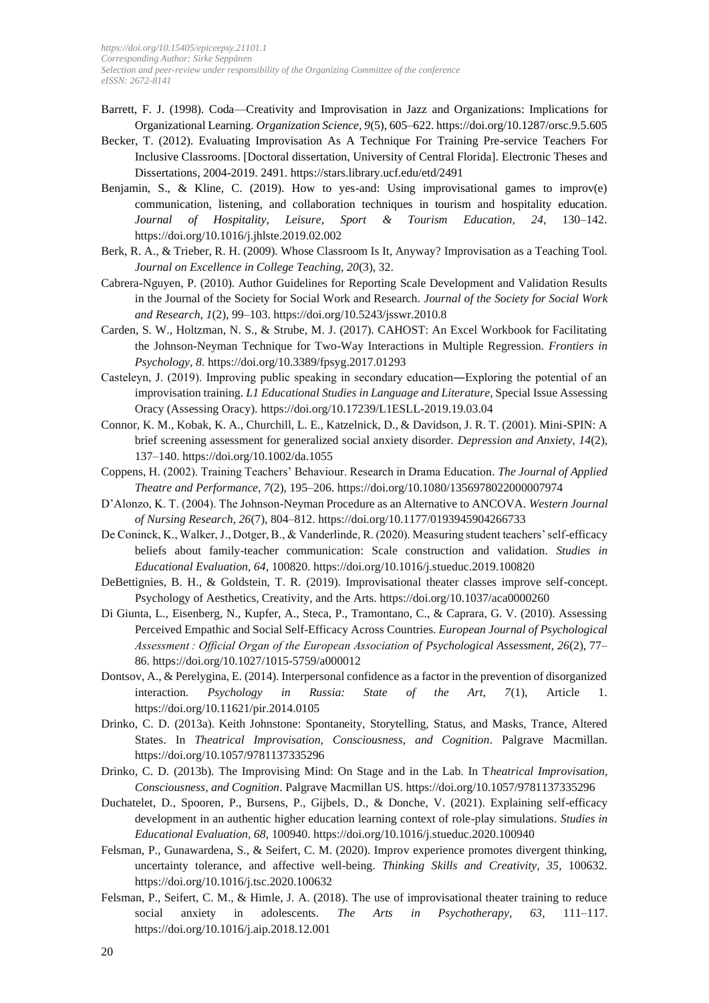- Barrett, F. J. (1998). Coda—Creativity and Improvisation in Jazz and Organizations: Implications for Organizational Learning. *Organization Science, 9*(5), 605–622. https://doi.org/10.1287/orsc.9.5.605
- Becker, T. (2012). Evaluating Improvisation As A Technique For Training Pre-service Teachers For Inclusive Classrooms. [Doctoral dissertation, University of Central Florida]. Electronic Theses and Dissertations, 2004-2019. 2491. https://stars.library.ucf.edu/etd/2491
- Benjamin, S., & Kline, C. (2019). How to yes-and: Using improvisational games to improv(e) communication, listening, and collaboration techniques in tourism and hospitality education. *Journal of Hospitality, Leisure, Sport & Tourism Education, 24*, 130–142. https://doi.org/10.1016/j.jhlste.2019.02.002
- Berk, R. A., & Trieber, R. H. (2009). Whose Classroom Is It, Anyway? Improvisation as a Teaching Tool. *Journal on Excellence in College Teaching, 20*(3), 32.
- Cabrera-Nguyen, P. (2010). Author Guidelines for Reporting Scale Development and Validation Results in the Journal of the Society for Social Work and Research. *Journal of the Society for Social Work and Research, 1*(2), 99–103. https://doi.org/10.5243/jsswr.2010.8
- Carden, S. W., Holtzman, N. S., & Strube, M. J. (2017). CAHOST: An Excel Workbook for Facilitating the Johnson-Neyman Technique for Two-Way Interactions in Multiple Regression. *Frontiers in Psychology, 8*. https://doi.org/10.3389/fpsyg.2017.01293
- Casteleyn, J. (2019). Improving public speaking in secondary education―Exploring the potential of an improvisation training. *L1 Educational Studies in Language and Literature*, Special Issue Assessing Oracy (Assessing Oracy). https://doi.org/10.17239/L1ESLL-2019.19.03.04
- Connor, K. M., Kobak, K. A., Churchill, L. E., Katzelnick, D., & Davidson, J. R. T. (2001). Mini-SPIN: A brief screening assessment for generalized social anxiety disorder. *Depression and Anxiety, 14*(2), 137–140. https://doi.org/10.1002/da.1055
- Coppens, H. (2002). Training Teachers' Behaviour. Research in Drama Education. *The Journal of Applied Theatre and Performance, 7*(2), 195–206. https://doi.org/10.1080/1356978022000007974
- D'Alonzo, K. T. (2004). The Johnson-Neyman Procedure as an Alternative to ANCOVA. *Western Journal of Nursing Research, 26*(7), 804–812. https://doi.org/10.1177/0193945904266733
- De Coninck, K., Walker, J., Dotger, B., & Vanderlinde, R. (2020). Measuring student teachers' self-efficacy beliefs about family-teacher communication: Scale construction and validation. *Studies in Educational Evaluation, 64*, 100820. https://doi.org/10.1016/j.stueduc.2019.100820
- DeBettignies, B. H., & Goldstein, T. R. (2019). Improvisational theater classes improve self-concept. Psychology of Aesthetics, Creativity, and the Arts. https://doi.org/10.1037/aca0000260
- Di Giunta, L., Eisenberg, N., Kupfer, A., Steca, P., Tramontano, C., & Caprara, G. V. (2010). Assessing Perceived Empathic and Social Self-Efficacy Across Countries. *European Journal of Psychological Assessment : Official Organ of the European Association of Psychological Assessment, 26*(2), 77– 86. https://doi.org/10.1027/1015-5759/a000012
- Dontsov, A., & Perelygina, E. (2014). Interpersonal confidence as a factor in the prevention of disorganized interaction. *Psychology in Russia: State of the Art, 7*(1), Article 1. https://doi.org/10.11621/pir.2014.0105
- Drinko, C. D. (2013a). Keith Johnstone: Spontaneity, Storytelling, Status, and Masks, Trance, Altered States. In *Theatrical Improvisation, Consciousness, and Cognition*. Palgrave Macmillan. https://doi.org/10.1057/9781137335296
- Drinko, C. D. (2013b). The Improvising Mind: On Stage and in the Lab. In T*heatrical Improvisation, Consciousness, and Cognition*. Palgrave Macmillan US. https://doi.org/10.1057/9781137335296
- Duchatelet, D., Spooren, P., Bursens, P., Gijbels, D., & Donche, V. (2021). Explaining self-efficacy development in an authentic higher education learning context of role-play simulations. *Studies in Educational Evaluation, 68*, 100940. https://doi.org/10.1016/j.stueduc.2020.100940
- Felsman, P., Gunawardena, S., & Seifert, C. M. (2020). Improv experience promotes divergent thinking, uncertainty tolerance, and affective well-being. *Thinking Skills and Creativity, 35*, 100632. https://doi.org/10.1016/j.tsc.2020.100632
- Felsman, P., Seifert, C. M., & Himle, J. A. (2018). The use of improvisational theater training to reduce social anxiety in adolescents. *The Arts in Psychotherapy, 63*, 111–117. https://doi.org/10.1016/j.aip.2018.12.001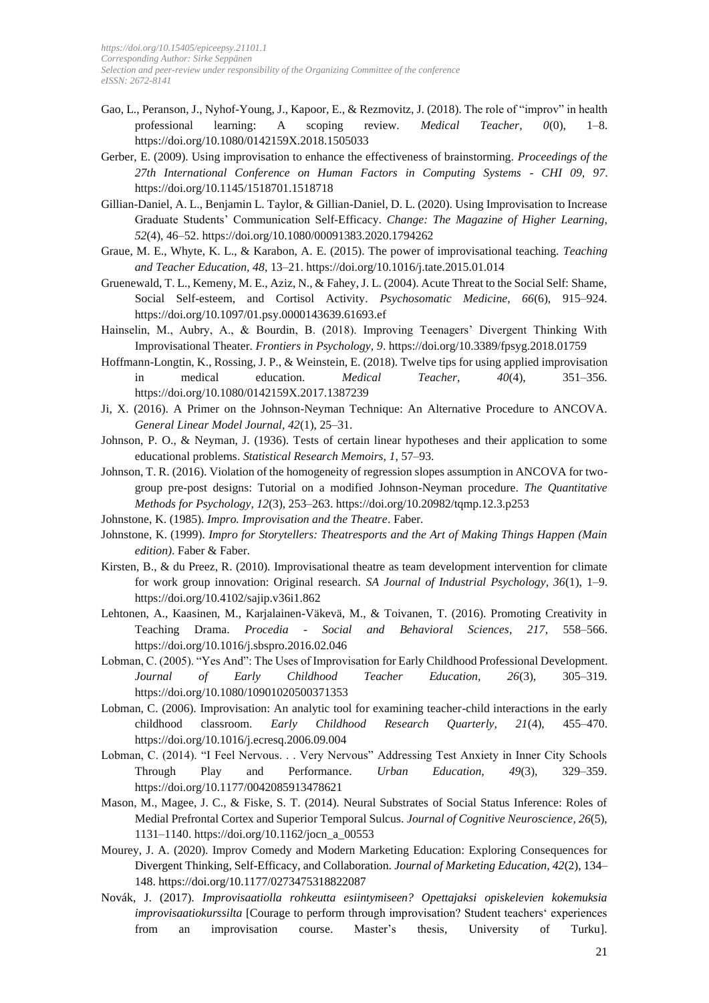- Gao, L., Peranson, J., Nyhof-Young, J., Kapoor, E., & Rezmovitz, J. (2018). The role of "improv" in health professional learning: A scoping review. *Medical Teacher, 0*(0), 1–8. https://doi.org/10.1080/0142159X.2018.1505033
- Gerber, E. (2009). Using improvisation to enhance the effectiveness of brainstorming. *Proceedings of the 27th International Conference on Human Factors in Computing Systems - CHI 09, 97*. https://doi.org/10.1145/1518701.1518718
- Gillian-Daniel, A. L., Benjamin L. Taylor, & Gillian-Daniel, D. L. (2020). Using Improvisation to Increase Graduate Students' Communication Self-Efficacy. *Change: The Magazine of Higher Learning, 52*(4), 46–52. https://doi.org/10.1080/00091383.2020.1794262
- Graue, M. E., Whyte, K. L., & Karabon, A. E. (2015). The power of improvisational teaching. *Teaching and Teacher Education, 48*, 13–21. https://doi.org/10.1016/j.tate.2015.01.014
- Gruenewald, T. L., Kemeny, M. E., Aziz, N., & Fahey, J. L. (2004). Acute Threat to the Social Self: Shame, Social Self-esteem, and Cortisol Activity. *Psychosomatic Medicine, 66*(6), 915–924. https://doi.org/10.1097/01.psy.0000143639.61693.ef
- Hainselin, M., Aubry, A., & Bourdin, B. (2018). Improving Teenagers' Divergent Thinking With Improvisational Theater. *Frontiers in Psychology, 9*. https://doi.org/10.3389/fpsyg.2018.01759
- Hoffmann-Longtin, K., Rossing, J. P., & Weinstein, E. (2018). Twelve tips for using applied improvisation in medical education. *Medical Teacher, 40*(4), 351–356. https://doi.org/10.1080/0142159X.2017.1387239
- Ji, X. (2016). A Primer on the Johnson-Neyman Technique: An Alternative Procedure to ANCOVA. *General Linear Model Journal, 42*(1), 25–31.
- Johnson, P. O., & Neyman, J. (1936). Tests of certain linear hypotheses and their application to some educational problems. *Statistical Research Memoirs, 1*, 57–93.
- Johnson, T. R. (2016). Violation of the homogeneity of regression slopes assumption in ANCOVA for twogroup pre-post designs: Tutorial on a modified Johnson-Neyman procedure. *The Quantitative Methods for Psychology, 12*(3), 253–263. https://doi.org/10.20982/tqmp.12.3.p253

Johnstone, K. (1985). *Impro. Improvisation and the Theatre*. Faber.

- Johnstone, K. (1999). *Impro for Storytellers: Theatresports and the Art of Making Things Happen (Main edition)*. Faber & Faber.
- Kirsten, B., & du Preez, R. (2010). Improvisational theatre as team development intervention for climate for work group innovation: Original research. *SA Journal of Industrial Psychology, 36*(1), 1–9. https://doi.org/10.4102/sajip.v36i1.862
- Lehtonen, A., Kaasinen, M., Karjalainen-Väkevä, M., & Toivanen, T. (2016). Promoting Creativity in Teaching Drama. *Procedia - Social and Behavioral Sciences, 217*, 558–566. https://doi.org/10.1016/j.sbspro.2016.02.046
- Lobman, C. (2005). "Yes And": The Uses of Improvisation for Early Childhood Professional Development. *Journal of Early Childhood Teacher Education, 26*(3), 305–319. https://doi.org/10.1080/10901020500371353
- Lobman, C. (2006). Improvisation: An analytic tool for examining teacher-child interactions in the early childhood classroom. *Early Childhood Research Quarterly, 21*(4), 455–470. https://doi.org/10.1016/j.ecresq.2006.09.004
- Lobman, C. (2014). "I Feel Nervous. . . Very Nervous" Addressing Test Anxiety in Inner City Schools Through Play and Performance. *Urban Education, 49*(3), 329–359. https://doi.org/10.1177/0042085913478621
- Mason, M., Magee, J. C., & Fiske, S. T. (2014). Neural Substrates of Social Status Inference: Roles of Medial Prefrontal Cortex and Superior Temporal Sulcus. *Journal of Cognitive Neuroscience, 26*(5), 1131–1140. https://doi.org/10.1162/jocn\_a\_00553
- Mourey, J. A. (2020). Improv Comedy and Modern Marketing Education: Exploring Consequences for Divergent Thinking, Self-Efficacy, and Collaboration. *Journal of Marketing Education, 42*(2), 134– 148. https://doi.org/10.1177/0273475318822087
- Novák, J. (2017). *Improvisaatiolla rohkeutta esiintymiseen? Opettajaksi opiskelevien kokemuksia improvisaatiokurssilta* [Courage to perform through improvisation? Student teachers' experiences from an improvisation course. Master's thesis, University of Turku].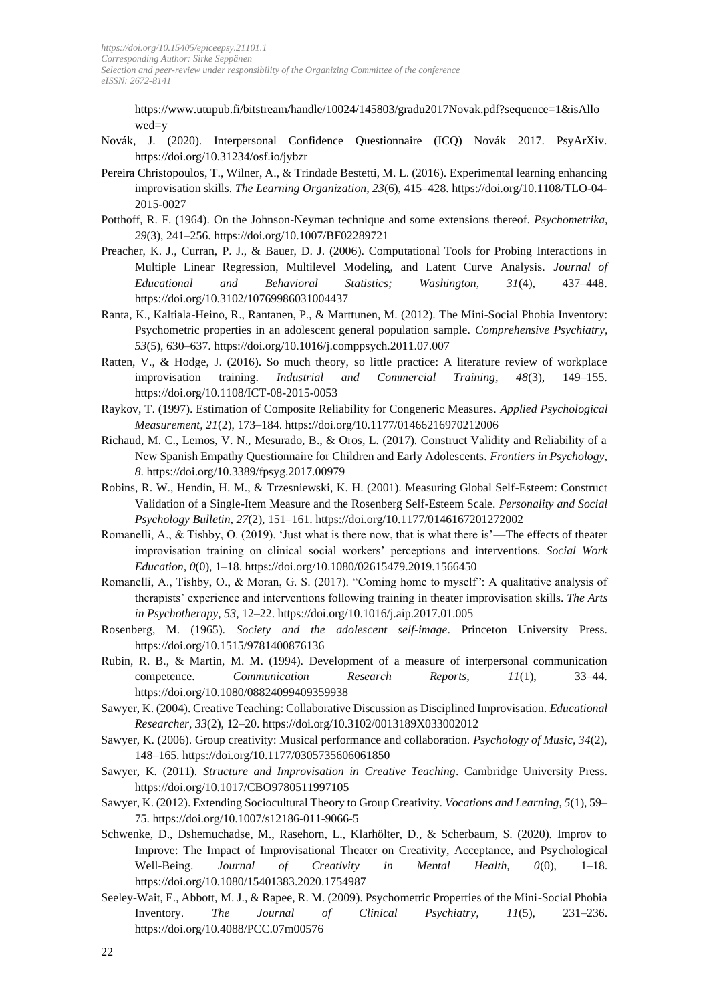https://www.utupub.fi/bitstream/handle/10024/145803/gradu2017Novak.pdf?sequence=1&isAllo wed=y

- Novák, J. (2020). Interpersonal Confidence Questionnaire (ICQ) Novák 2017. PsyArXiv. https://doi.org/10.31234/osf.io/jybzr
- Pereira Christopoulos, T., Wilner, A., & Trindade Bestetti, M. L. (2016). Experimental learning enhancing improvisation skills. *The Learning Organization, 23*(6), 415–428. https://doi.org/10.1108/TLO-04- 2015-0027
- Potthoff, R. F. (1964). On the Johnson-Neyman technique and some extensions thereof. *Psychometrika, 29*(3), 241–256. https://doi.org/10.1007/BF02289721
- Preacher, K. J., Curran, P. J., & Bauer, D. J. (2006). Computational Tools for Probing Interactions in Multiple Linear Regression, Multilevel Modeling, and Latent Curve Analysis. *Journal of Educational and Behavioral Statistics; Washington, 31*(4), 437–448. https://doi.org/10.3102/10769986031004437
- Ranta, K., Kaltiala-Heino, R., Rantanen, P., & Marttunen, M. (2012). The Mini-Social Phobia Inventory: Psychometric properties in an adolescent general population sample. *Comprehensive Psychiatry, 53*(5), 630–637. https://doi.org/10.1016/j.comppsych.2011.07.007
- Ratten, V., & Hodge, J. (2016). So much theory, so little practice: A literature review of workplace improvisation training. *Industrial and Commercial Training, 48*(3), 149–155. https://doi.org/10.1108/ICT-08-2015-0053
- Raykov, T. (1997). Estimation of Composite Reliability for Congeneric Measures. *Applied Psychological Measurement, 21*(2), 173–184. https://doi.org/10.1177/01466216970212006
- Richaud, M. C., Lemos, V. N., Mesurado, B., & Oros, L. (2017). Construct Validity and Reliability of a New Spanish Empathy Questionnaire for Children and Early Adolescents. *Frontiers in Psychology, 8*. https://doi.org/10.3389/fpsyg.2017.00979
- Robins, R. W., Hendin, H. M., & Trzesniewski, K. H. (2001). Measuring Global Self-Esteem: Construct Validation of a Single-Item Measure and the Rosenberg Self-Esteem Scale. *Personality and Social Psychology Bulletin, 27*(2), 151–161. https://doi.org/10.1177/0146167201272002
- Romanelli, A., & Tishby, O. (2019). 'Just what is there now, that is what there is'—The effects of theater improvisation training on clinical social workers' perceptions and interventions. *Social Work Education, 0*(0), 1–18. https://doi.org/10.1080/02615479.2019.1566450
- Romanelli, A., Tishby, O., & Moran, G. S. (2017). "Coming home to myself": A qualitative analysis of therapists' experience and interventions following training in theater improvisation skills. *The Arts in Psychotherapy, 53*, 12–22. https://doi.org/10.1016/j.aip.2017.01.005
- Rosenberg, M. (1965). *Society and the adolescent self-image*. Princeton University Press. https://doi.org/10.1515/9781400876136
- Rubin, R. B., & Martin, M. M. (1994). Development of a measure of interpersonal communication competence. *Communication Research Reports, 11*(1), 33–44. https://doi.org/10.1080/08824099409359938
- Sawyer, K. (2004). Creative Teaching: Collaborative Discussion as Disciplined Improvisation. *Educational Researcher, 33*(2), 12–20. https://doi.org/10.3102/0013189X033002012
- Sawyer, K. (2006). Group creativity: Musical performance and collaboration. *Psychology of Music, 34*(2), 148–165. https://doi.org/10.1177/0305735606061850
- Sawyer, K. (2011). *Structure and Improvisation in Creative Teaching*. Cambridge University Press. https://doi.org/10.1017/CBO9780511997105
- Sawyer, K. (2012). Extending Sociocultural Theory to Group Creativity. *Vocations and Learning, 5*(1), 59– 75. https://doi.org/10.1007/s12186-011-9066-5
- Schwenke, D., Dshemuchadse, M., Rasehorn, L., Klarhölter, D., & Scherbaum, S. (2020). Improv to Improve: The Impact of Improvisational Theater on Creativity, Acceptance, and Psychological Well-Being. *Journal of Creativity in Mental Health, 0*(0), 1–18. https://doi.org/10.1080/15401383.2020.1754987
- Seeley-Wait, E., Abbott, M. J., & Rapee, R. M. (2009). Psychometric Properties of the Mini-Social Phobia Inventory. *The Journal of Clinical Psychiatry, 11*(5), 231–236. https://doi.org/10.4088/PCC.07m00576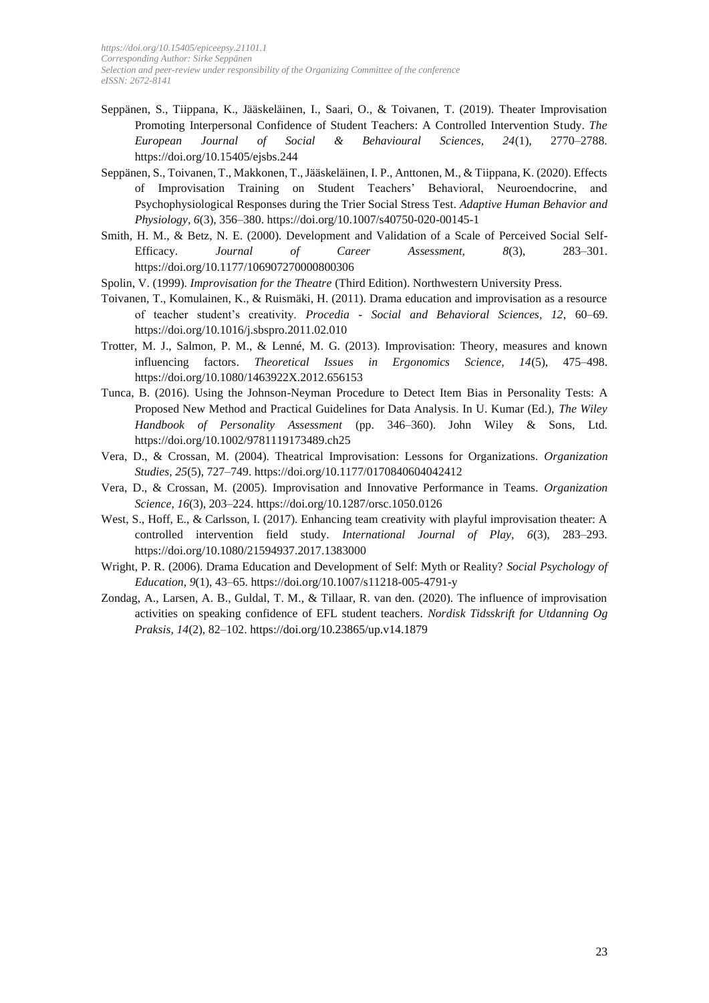- Seppänen, S., Tiippana, K., Jääskeläinen, I., Saari, O., & Toivanen, T. (2019). Theater Improvisation Promoting Interpersonal Confidence of Student Teachers: A Controlled Intervention Study. *The European Journal of Social & Behavioural Sciences, 24*(1), 2770–2788. https://doi.org/10.15405/ejsbs.244
- Seppänen, S., Toivanen, T., Makkonen, T., Jääskeläinen, I. P., Anttonen, M., & Tiippana, K. (2020). Effects of Improvisation Training on Student Teachers' Behavioral, Neuroendocrine, and Psychophysiological Responses during the Trier Social Stress Test. *Adaptive Human Behavior and Physiology, 6*(3), 356–380. https://doi.org/10.1007/s40750-020-00145-1
- Smith, H. M., & Betz, N. E. (2000). Development and Validation of a Scale of Perceived Social Self-Efficacy. *Journal of Career Assessment, 8*(3), 283–301. https://doi.org/10.1177/106907270000800306
- Spolin, V. (1999). *Improvisation for the Theatre* (Third Edition). Northwestern University Press.
- Toivanen, T., Komulainen, K., & Ruismäki, H. (2011). Drama education and improvisation as a resource of teacher student's creativity. *Procedia - Social and Behavioral Sciences, 12*, 60–69. https://doi.org/10.1016/j.sbspro.2011.02.010
- Trotter, M. J., Salmon, P. M., & Lenné, M. G. (2013). Improvisation: Theory, measures and known influencing factors. *Theoretical Issues in Ergonomics Science, 14*(5), 475–498. https://doi.org/10.1080/1463922X.2012.656153
- Tunca, B. (2016). Using the Johnson-Neyman Procedure to Detect Item Bias in Personality Tests: A Proposed New Method and Practical Guidelines for Data Analysis. In U. Kumar (Ed.), *The Wiley Handbook of Personality Assessment* (pp. 346–360). John Wiley & Sons, Ltd. https://doi.org/10.1002/9781119173489.ch25
- Vera, D., & Crossan, M. (2004). Theatrical Improvisation: Lessons for Organizations. *Organization Studies, 25*(5), 727–749. https://doi.org/10.1177/0170840604042412
- Vera, D., & Crossan, M. (2005). Improvisation and Innovative Performance in Teams. *Organization Science, 16*(3), 203–224. https://doi.org/10.1287/orsc.1050.0126
- West, S., Hoff, E., & Carlsson, I. (2017). Enhancing team creativity with playful improvisation theater: A controlled intervention field study. *International Journal of Play, 6*(3), 283–293. https://doi.org/10.1080/21594937.2017.1383000
- Wright, P. R. (2006). Drama Education and Development of Self: Myth or Reality? *Social Psychology of Education, 9*(1), 43–65. https://doi.org/10.1007/s11218-005-4791-y
- Zondag, A., Larsen, A. B., Guldal, T. M., & Tillaar, R. van den. (2020). The influence of improvisation activities on speaking confidence of EFL student teachers. *Nordisk Tidsskrift for Utdanning Og Praksis, 14*(2), 82–102.<https://doi.org/10.23865/up.v14.1879>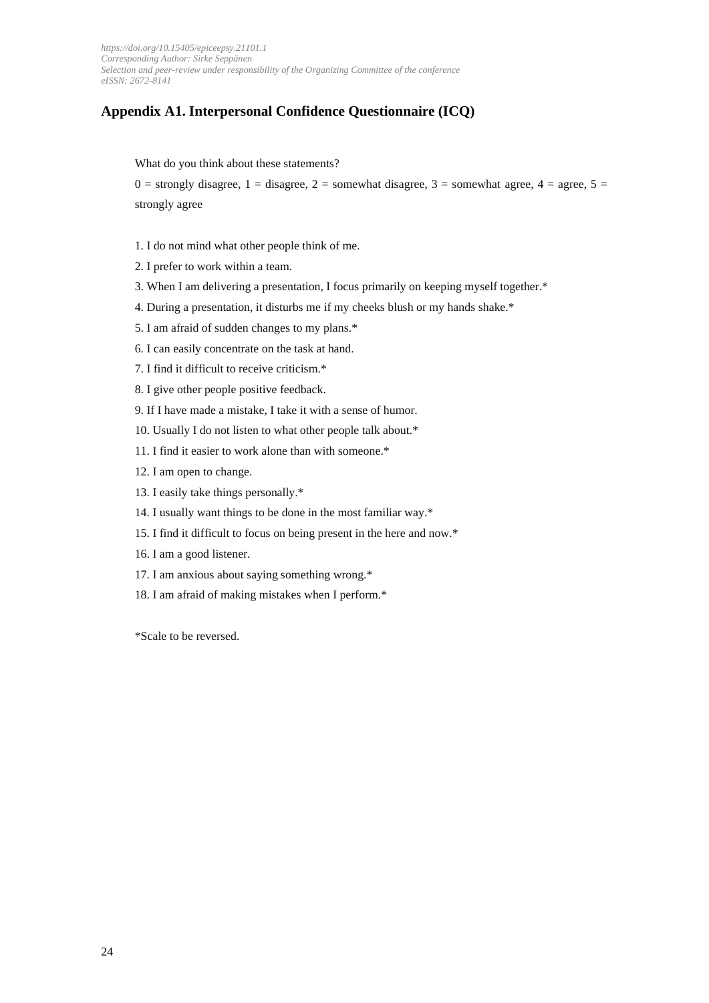# **Appendix A1. Interpersonal Confidence Questionnaire (ICQ)**

What do you think about these statements?

 $0 =$  strongly disagree,  $1 =$  disagree,  $2 =$  somewhat disagree,  $3 =$  somewhat agree,  $4 =$  agree,  $5 =$ strongly agree

- 1. I do not mind what other people think of me.
- 2. I prefer to work within a team.
- 3. When I am delivering a presentation, I focus primarily on keeping myself together.\*
- 4. During a presentation, it disturbs me if my cheeks blush or my hands shake.\*
- 5. I am afraid of sudden changes to my plans.\*
- 6. I can easily concentrate on the task at hand.
- 7. I find it difficult to receive criticism.\*
- 8. I give other people positive feedback.
- 9. If I have made a mistake, I take it with a sense of humor.
- 10. Usually I do not listen to what other people talk about.\*
- 11. I find it easier to work alone than with someone.\*
- 12. I am open to change.
- 13. I easily take things personally.\*
- 14. I usually want things to be done in the most familiar way.\*
- 15. I find it difficult to focus on being present in the here and now.\*
- 16. I am a good listener.
- 17. I am anxious about saying something wrong.\*
- 18. I am afraid of making mistakes when I perform.\*

\*Scale to be reversed.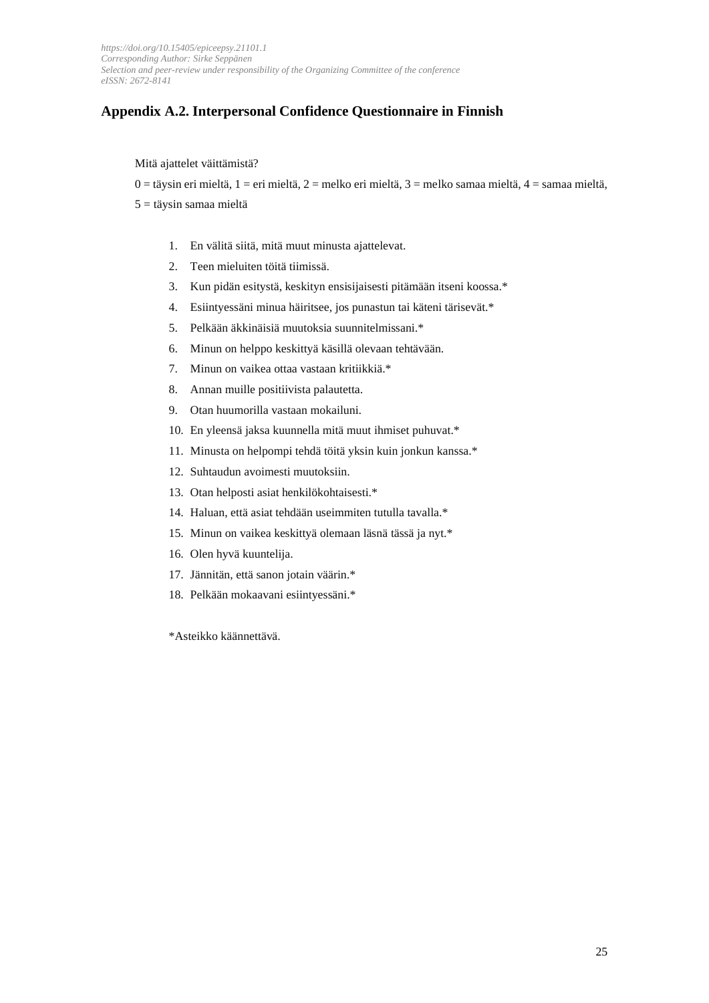# **Appendix A.2. Interpersonal Confidence Questionnaire in Finnish**

#### Mitä ajattelet väittämistä?

0 = täysin eri mieltä, 1 = eri mieltä, 2 = melko eri mieltä, 3 = melko samaa mieltä, 4 = samaa mieltä,

 $5 =$  täysin samaa mieltä

- 1. En välitä siitä, mitä muut minusta ajattelevat.
- 2. Teen mieluiten töitä tiimissä.
- 3. Kun pidän esitystä, keskityn ensisijaisesti pitämään itseni koossa.\*
- 4. Esiintyessäni minua häiritsee, jos punastun tai käteni tärisevät.\*
- 5. Pelkään äkkinäisiä muutoksia suunnitelmissani.\*
- 6. Minun on helppo keskittyä käsillä olevaan tehtävään.
- 7. Minun on vaikea ottaa vastaan kritiikkiä.\*
- 8. Annan muille positiivista palautetta.
- 9. Otan huumorilla vastaan mokailuni.
- 10. En yleensä jaksa kuunnella mitä muut ihmiset puhuvat.\*
- 11. Minusta on helpompi tehdä töitä yksin kuin jonkun kanssa.\*
- 12. Suhtaudun avoimesti muutoksiin.
- 13. Otan helposti asiat henkilökohtaisesti.\*
- 14. Haluan, että asiat tehdään useimmiten tutulla tavalla.\*
- 15. Minun on vaikea keskittyä olemaan läsnä tässä ja nyt.\*
- 16. Olen hyvä kuuntelija.
- 17. Jännitän, että sanon jotain väärin.\*
- 18. Pelkään mokaavani esiintyessäni.\*

\*Asteikko käännettävä.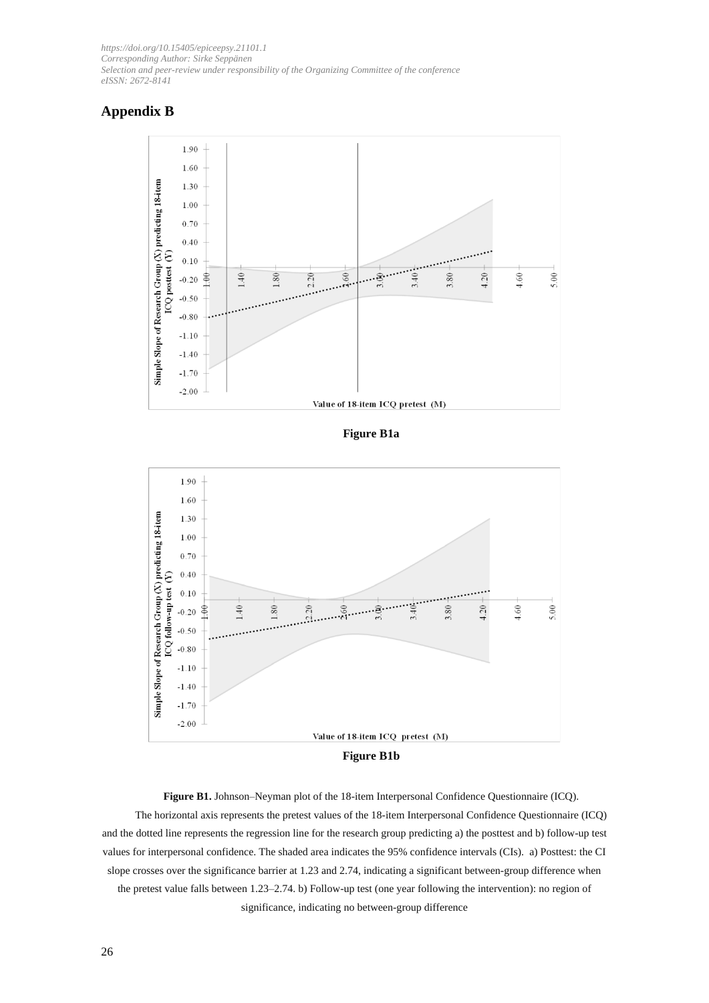# **Appendix B**



**Figure B1a**



**Figure B1.** Johnson–Neyman plot of the 18-item Interpersonal Confidence Questionnaire (ICQ). The horizontal axis represents the pretest values of the 18-item Interpersonal Confidence Questionnaire (ICQ) and the dotted line represents the regression line for the research group predicting a) the posttest and b) follow-up test values for interpersonal confidence. The shaded area indicates the 95% confidence intervals (CIs). a) Posttest: the CI slope crosses over the significance barrier at 1.23 and 2.74, indicating a significant between-group difference when the pretest value falls between 1.23–2.74. b) Follow-up test (one year following the intervention): no region of significance, indicating no between-group difference